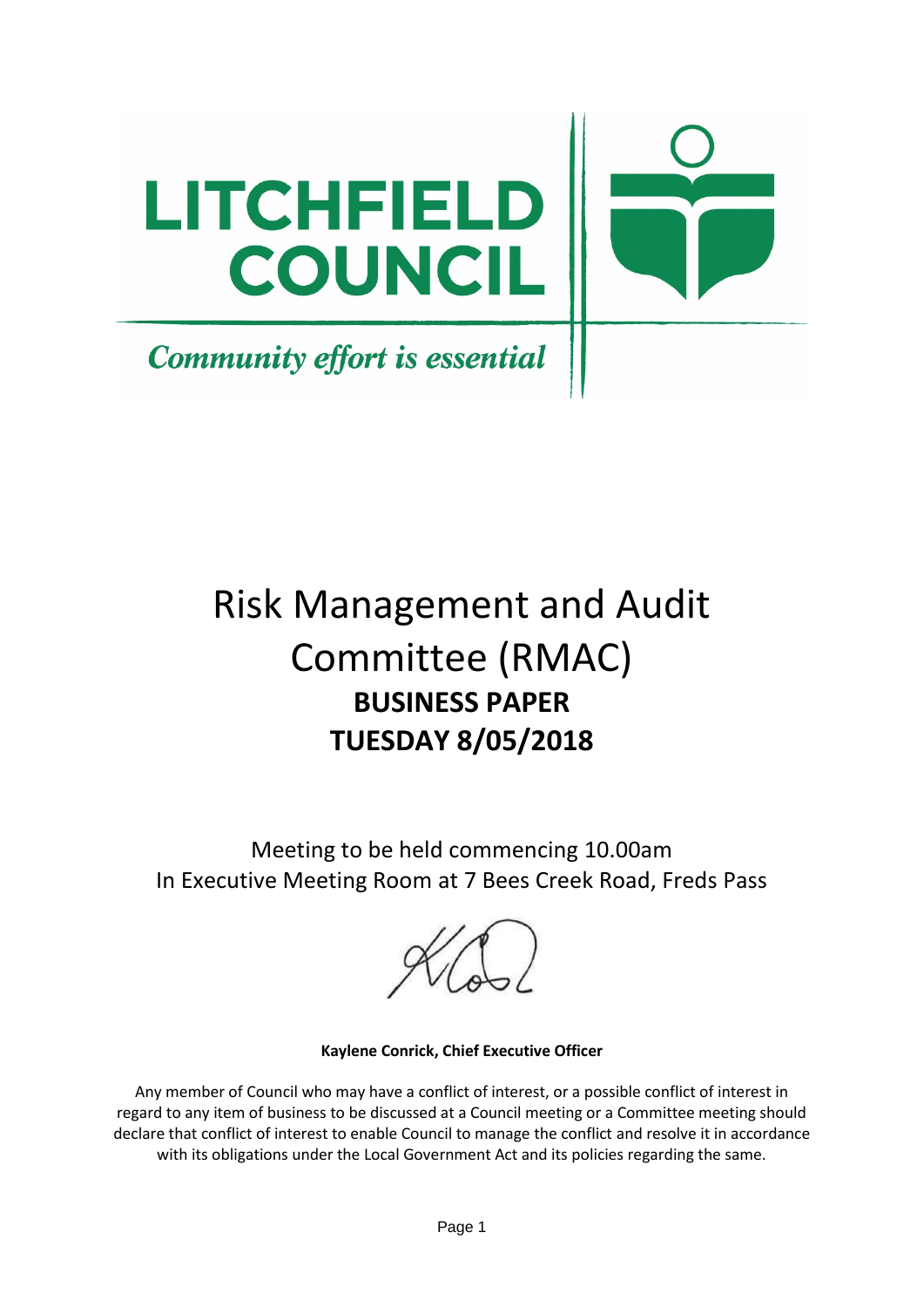

# Risk Management and Audit Committee (RMAC) **BUSINESS PAPER TUESDAY 8/05/2018**

Meeting to be held commencing 10.00am In Executive Meeting Room at 7 Bees Creek Road, Freds Pass

**Kaylene Conrick, Chief Executive Officer**

Any member of Council who may have a conflict of interest, or a possible conflict of interest in regard to any item of business to be discussed at a Council meeting or a Committee meeting should declare that conflict of interest to enable Council to manage the conflict and resolve it in accordance with its obligations under the Local Government Act and its policies regarding the same.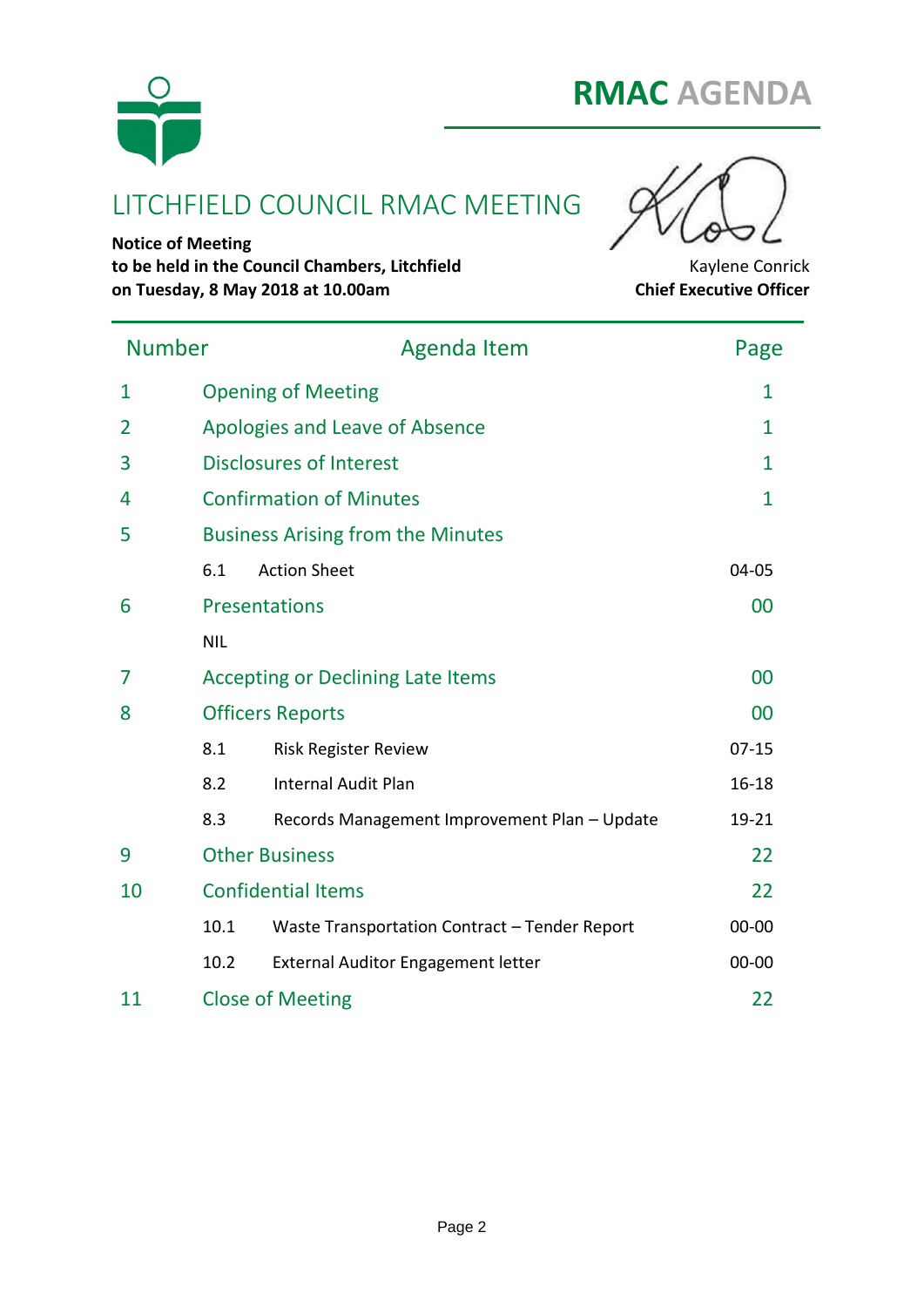



# LITCHFIELD COUNCIL RMAC MEETING

**Notice of Meeting to be held in the Council Chambers, Litchfield** Kaylene Conrick **on Tuesday, 8 May 2018 at 10.00am Chief Executive Officer**

| <b>Number</b> |            | <b>Agenda Item</b>                            | Page           |  |
|---------------|------------|-----------------------------------------------|----------------|--|
| $\mathbf{1}$  |            | <b>Opening of Meeting</b>                     | $\mathbf{1}$   |  |
| 2             |            | Apologies and Leave of Absence                | $\mathbf{1}$   |  |
| 3             |            | <b>Disclosures of Interest</b>                | $\mathbf{1}$   |  |
| 4             |            | <b>Confirmation of Minutes</b>                | $\overline{1}$ |  |
| 5             |            | <b>Business Arising from the Minutes</b>      |                |  |
|               | 6.1        | <b>Action Sheet</b>                           | 04-05          |  |
| 6             |            | <b>Presentations</b>                          | 00             |  |
|               | <b>NIL</b> |                                               |                |  |
| 7             |            | <b>Accepting or Declining Late Items</b>      | 00             |  |
| 8             |            | <b>Officers Reports</b>                       | 00             |  |
|               | 8.1        | <b>Risk Register Review</b>                   | $07 - 15$      |  |
|               | 8.2        | <b>Internal Audit Plan</b>                    | $16 - 18$      |  |
|               | 8.3        | Records Management Improvement Plan - Update  | 19-21          |  |
| 9             |            | <b>Other Business</b>                         | 22             |  |
| 10            |            | <b>Confidential Items</b>                     | 22             |  |
|               | 10.1       | Waste Transportation Contract - Tender Report | $00 - 00$      |  |
|               | 10.2       | External Auditor Engagement letter            | $00 - 00$      |  |
| 11            |            | <b>Close of Meeting</b>                       | 22             |  |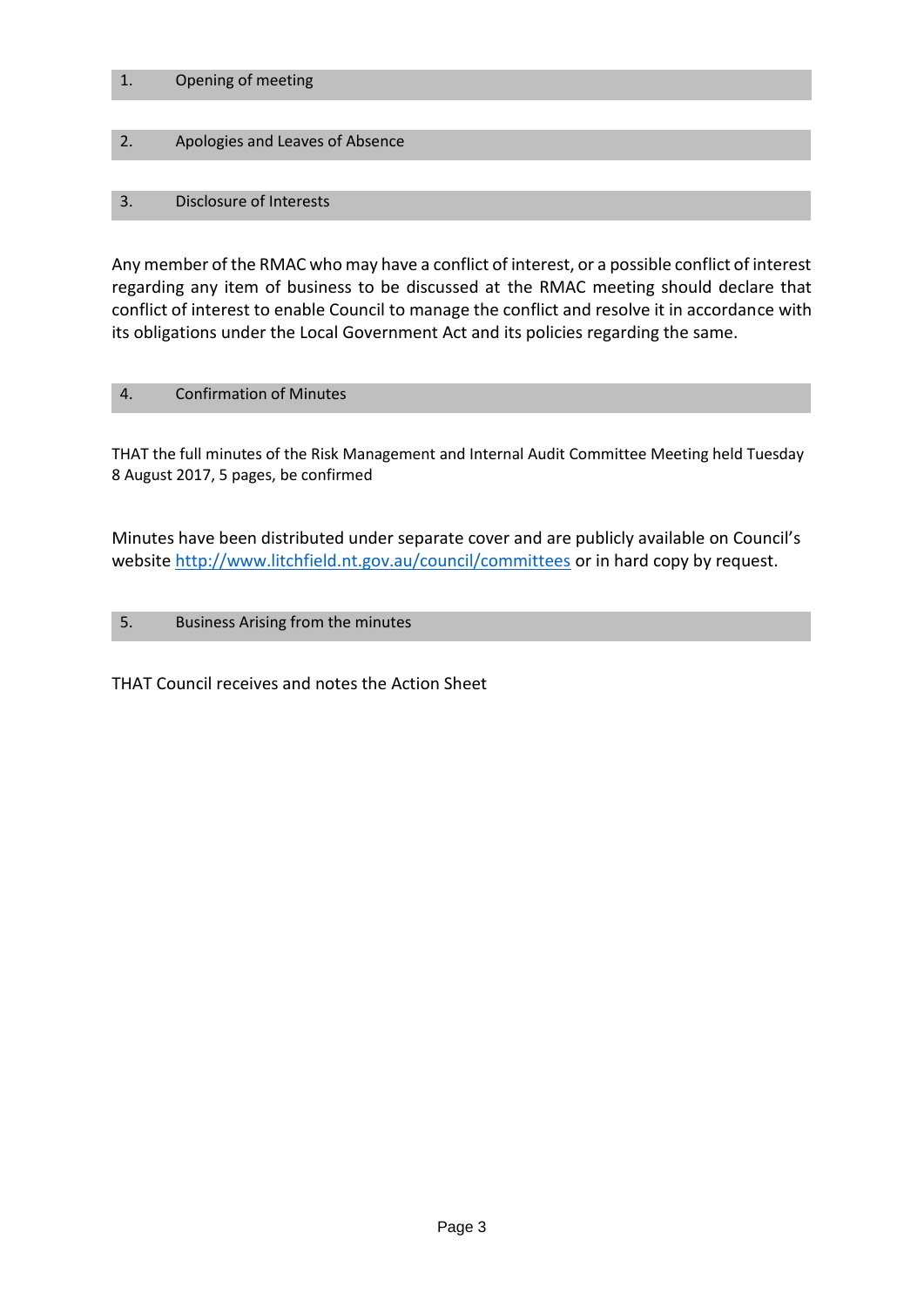#### 1. Opening of meeting

#### 2. Apologies and Leaves of Absence

#### 3. Disclosure of Interests

Any member of the RMAC who may have a conflict of interest, or a possible conflict of interest regarding any item of business to be discussed at the RMAC meeting should declare that conflict of interest to enable Council to manage the conflict and resolve it in accordance with its obligations under the Local Government Act and its policies regarding the same.

#### 4. Confirmation of Minutes

THAT the full minutes of the Risk Management and Internal Audit Committee Meeting held Tuesday 8 August 2017, 5 pages, be confirmed

Minutes have been distributed under separate cover and are publicly available on Council's website http://www.litchfield.nt.gov.au/council/committees or in hard copy by request.

#### 5. Business Arising from the minutes

THAT Council receives and notes the Action Sheet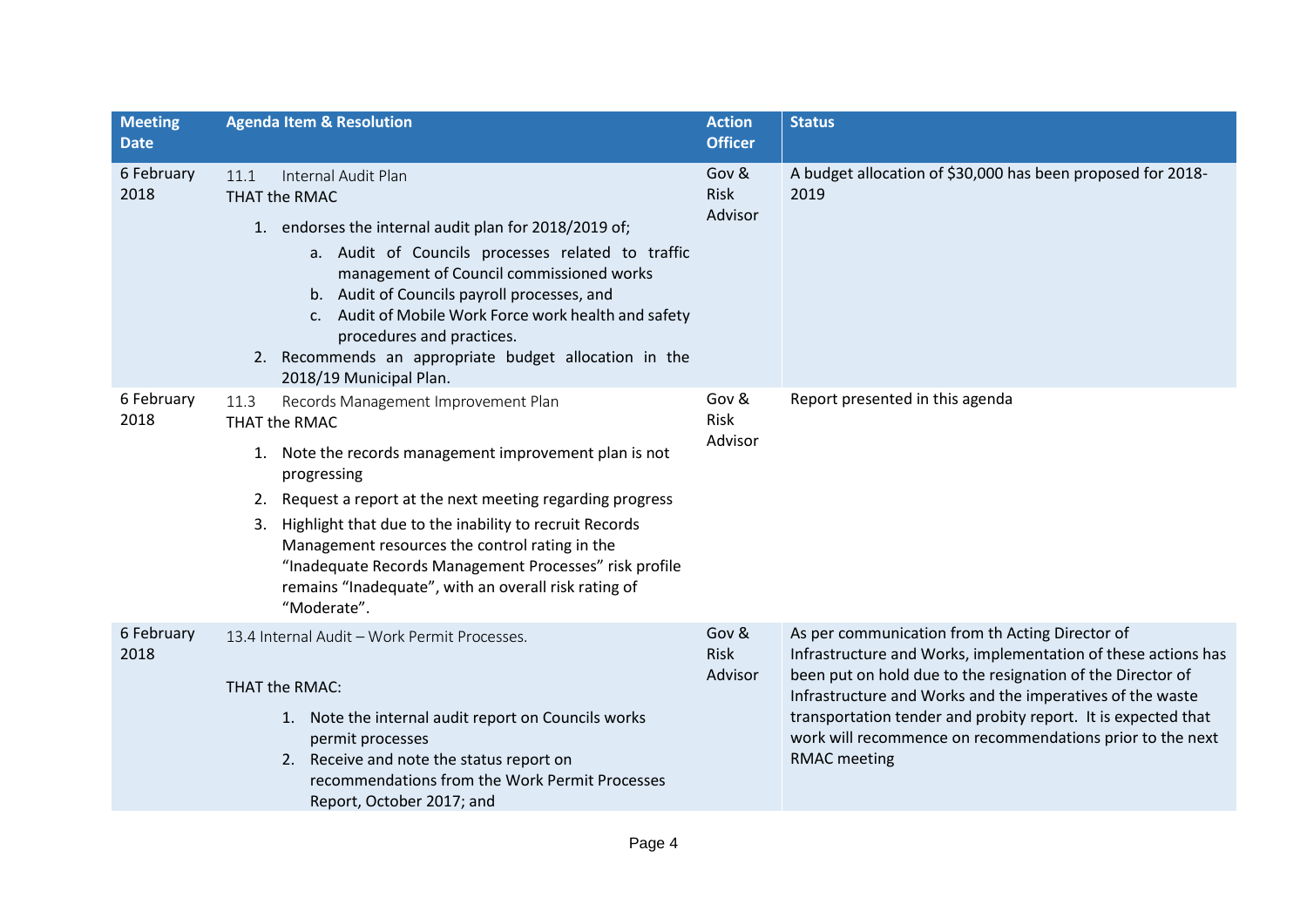| <b>Meeting</b><br><b>Date</b> | <b>Agenda Item &amp; Resolution</b>                                                                                                                                                                                                                                                                                                                                                                                                                 | <b>Action</b><br><b>Officer</b> | <b>Status</b>                                                                                                                                                                                                                                                                                                                                                                                    |
|-------------------------------|-----------------------------------------------------------------------------------------------------------------------------------------------------------------------------------------------------------------------------------------------------------------------------------------------------------------------------------------------------------------------------------------------------------------------------------------------------|---------------------------------|--------------------------------------------------------------------------------------------------------------------------------------------------------------------------------------------------------------------------------------------------------------------------------------------------------------------------------------------------------------------------------------------------|
| 6 February<br>2018            | Internal Audit Plan<br>11.1<br>THAT the RMAC<br>1. endorses the internal audit plan for 2018/2019 of;<br>a. Audit of Councils processes related to traffic<br>management of Council commissioned works<br>b. Audit of Councils payroll processes, and<br>c. Audit of Mobile Work Force work health and safety<br>procedures and practices.<br>2. Recommends an appropriate budget allocation in the<br>2018/19 Municipal Plan.                      | Gov &<br>Risk<br>Advisor        | A budget allocation of \$30,000 has been proposed for 2018-<br>2019                                                                                                                                                                                                                                                                                                                              |
| 6 February<br>2018            | Records Management Improvement Plan<br>11.3<br>THAT the RMAC<br>1. Note the records management improvement plan is not<br>progressing<br>2. Request a report at the next meeting regarding progress<br>3. Highlight that due to the inability to recruit Records<br>Management resources the control rating in the<br>"Inadequate Records Management Processes" risk profile<br>remains "Inadequate", with an overall risk rating of<br>"Moderate". | Gov &<br>Risk<br>Advisor        | Report presented in this agenda                                                                                                                                                                                                                                                                                                                                                                  |
| 6 February<br>2018            | 13.4 Internal Audit - Work Permit Processes.<br>THAT the RMAC:<br>1. Note the internal audit report on Councils works<br>permit processes<br>2. Receive and note the status report on<br>recommendations from the Work Permit Processes<br>Report, October 2017; and                                                                                                                                                                                | Gov &<br>Risk<br>Advisor        | As per communication from th Acting Director of<br>Infrastructure and Works, implementation of these actions has<br>been put on hold due to the resignation of the Director of<br>Infrastructure and Works and the imperatives of the waste<br>transportation tender and probity report. It is expected that<br>work will recommence on recommendations prior to the next<br><b>RMAC</b> meeting |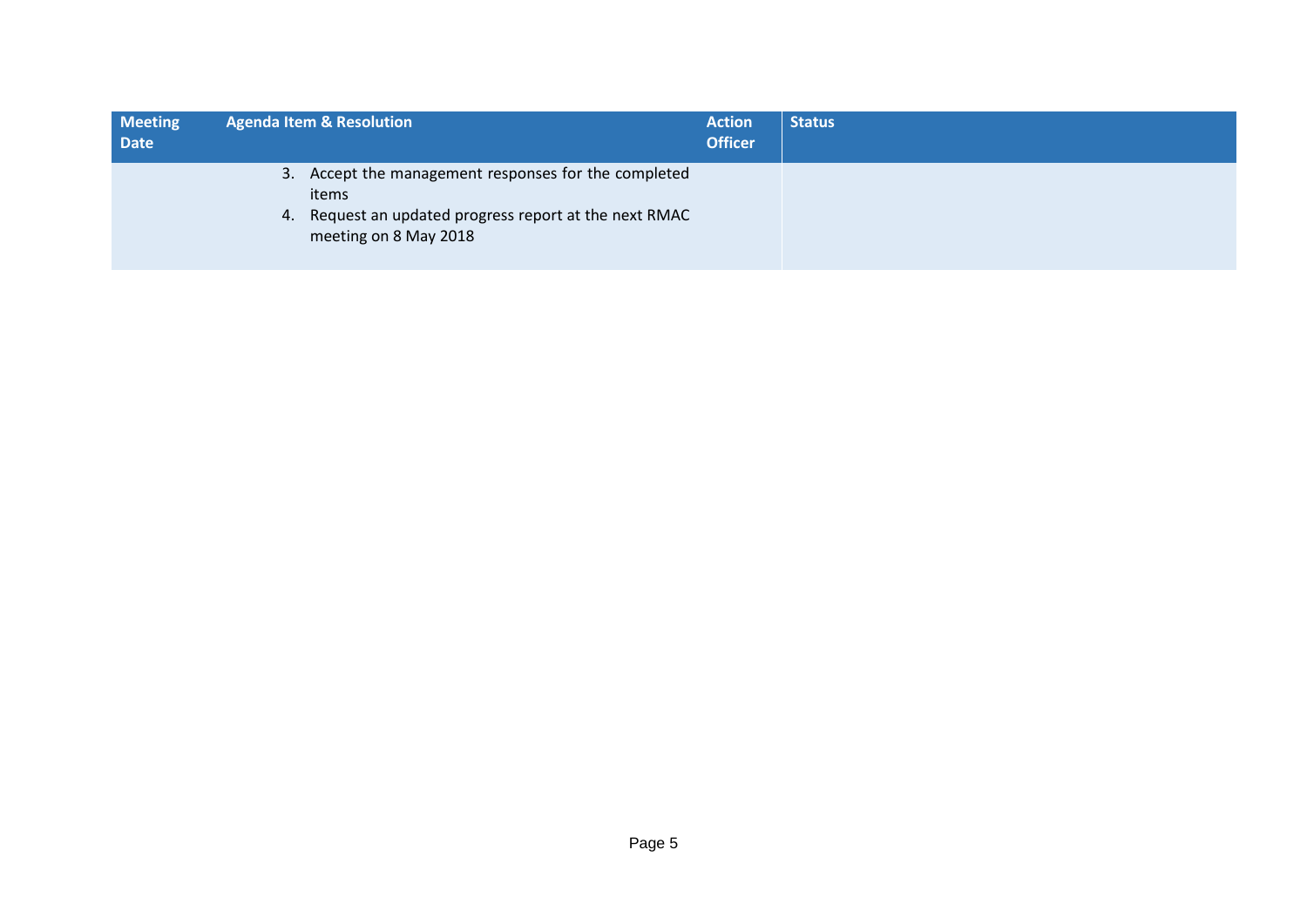| <b>Meeting</b><br><b>Date</b> | <b>Agenda Item &amp; Resolution</b>                                             | <b>Action</b><br><b>Officer</b> | <b>Status</b> |
|-------------------------------|---------------------------------------------------------------------------------|---------------------------------|---------------|
|                               | 3. Accept the management responses for the completed<br>items                   |                                 |               |
|                               | 4. Request an updated progress report at the next RMAC<br>meeting on 8 May 2018 |                                 |               |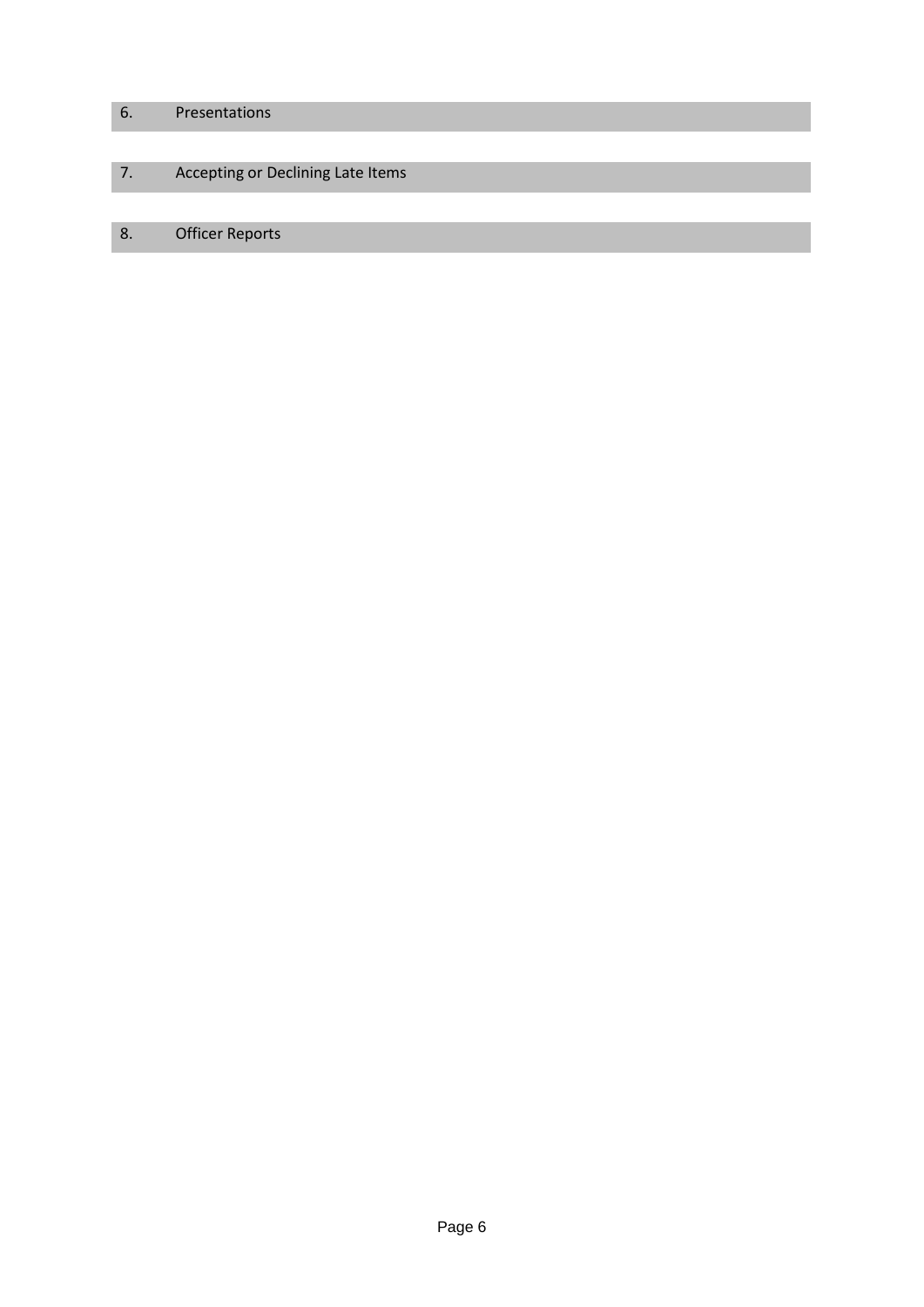## 6. Presentations

## 7. Accepting or Declining Late Items

## 8. Officer Reports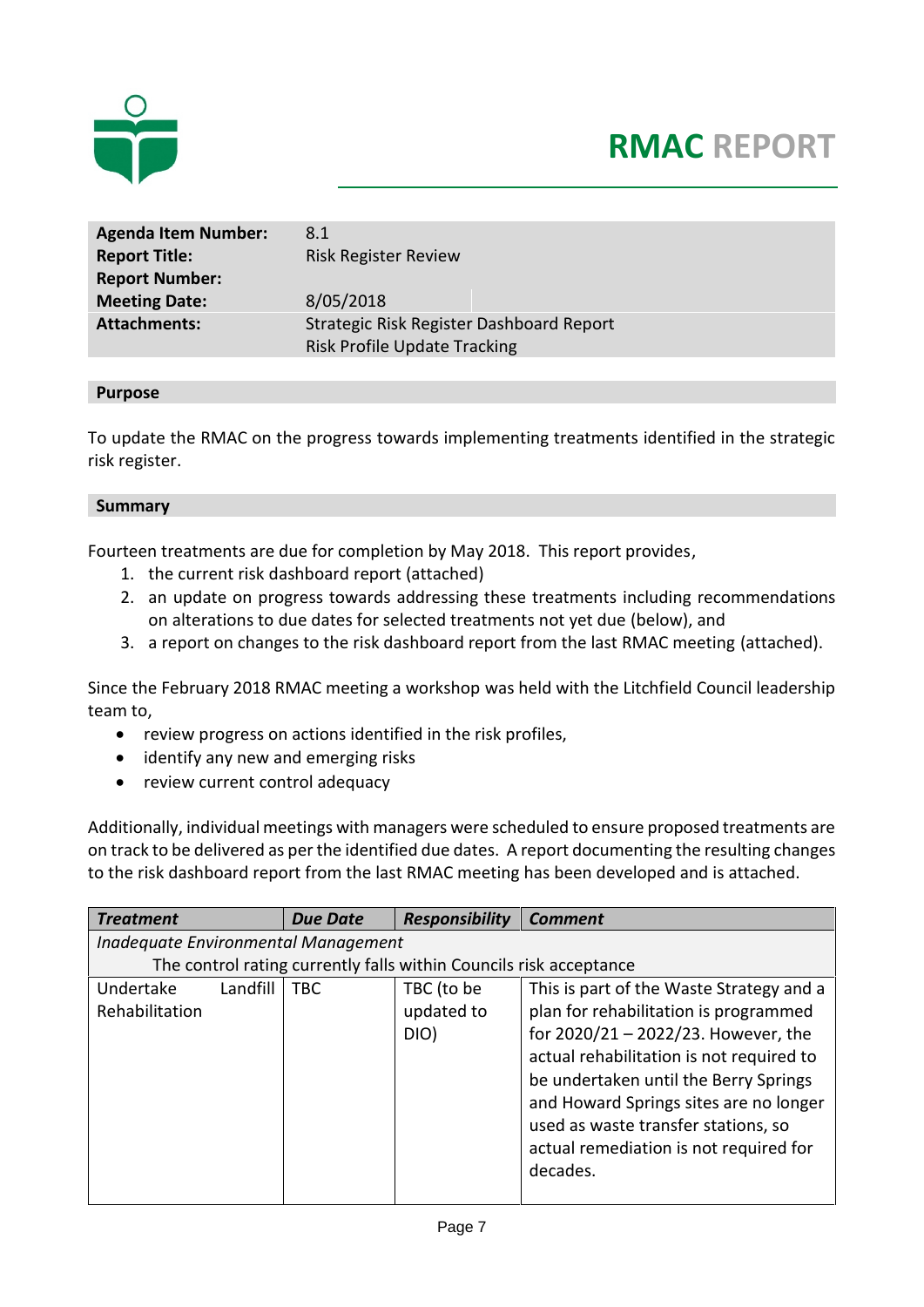

# **RMAC REPORT**

| <b>Agenda Item Number:</b> | 8.1                                      |
|----------------------------|------------------------------------------|
| <b>Report Title:</b>       | <b>Risk Register Review</b>              |
| <b>Report Number:</b>      |                                          |
| <b>Meeting Date:</b>       | 8/05/2018                                |
| <b>Attachments:</b>        | Strategic Risk Register Dashboard Report |
|                            | <b>Risk Profile Update Tracking</b>      |

#### **Purpose**

To update the RMAC on the progress towards implementing treatments identified in the strategic risk register.

#### **Summary**

Fourteen treatments are due for completion by May 2018. This report provides,

- 1. the current risk dashboard report (attached)
- 2. an update on progress towards addressing these treatments including recommendations on alterations to due dates for selected treatments not yet due (below), and
- 3. a report on changes to the risk dashboard report from the last RMAC meeting (attached).

Since the February 2018 RMAC meeting a workshop was held with the Litchfield Council leadership team to,

- review progress on actions identified in the risk profiles,
- identify any new and emerging risks
- review current control adequacy

Additionally, individual meetings with managers were scheduled to ensure proposed treatments are on track to be delivered as per the identified due dates. A report documenting the resulting changes to the risk dashboard report from the last RMAC meeting has been developed and is attached.

| <b>Treatment</b>                                                   |          | <b>Due Date</b> | <b>Responsibility</b> | <b>Comment</b>                           |  |  |  |  |
|--------------------------------------------------------------------|----------|-----------------|-----------------------|------------------------------------------|--|--|--|--|
| Inadequate Environmental Management                                |          |                 |                       |                                          |  |  |  |  |
| The control rating currently falls within Councils risk acceptance |          |                 |                       |                                          |  |  |  |  |
| Undertake                                                          | Landfill | <b>TBC</b>      | TBC (to be            | This is part of the Waste Strategy and a |  |  |  |  |
| Rehabilitation                                                     |          |                 | updated to            | plan for rehabilitation is programmed    |  |  |  |  |
|                                                                    |          |                 | DIO)                  | for 2020/21 - 2022/23. However, the      |  |  |  |  |
|                                                                    |          |                 |                       | actual rehabilitation is not required to |  |  |  |  |
|                                                                    |          |                 |                       | be undertaken until the Berry Springs    |  |  |  |  |
|                                                                    |          |                 |                       | and Howard Springs sites are no longer   |  |  |  |  |
|                                                                    |          |                 |                       | used as waste transfer stations, so      |  |  |  |  |
|                                                                    |          |                 |                       | actual remediation is not required for   |  |  |  |  |
|                                                                    |          |                 |                       | decades.                                 |  |  |  |  |
|                                                                    |          |                 |                       |                                          |  |  |  |  |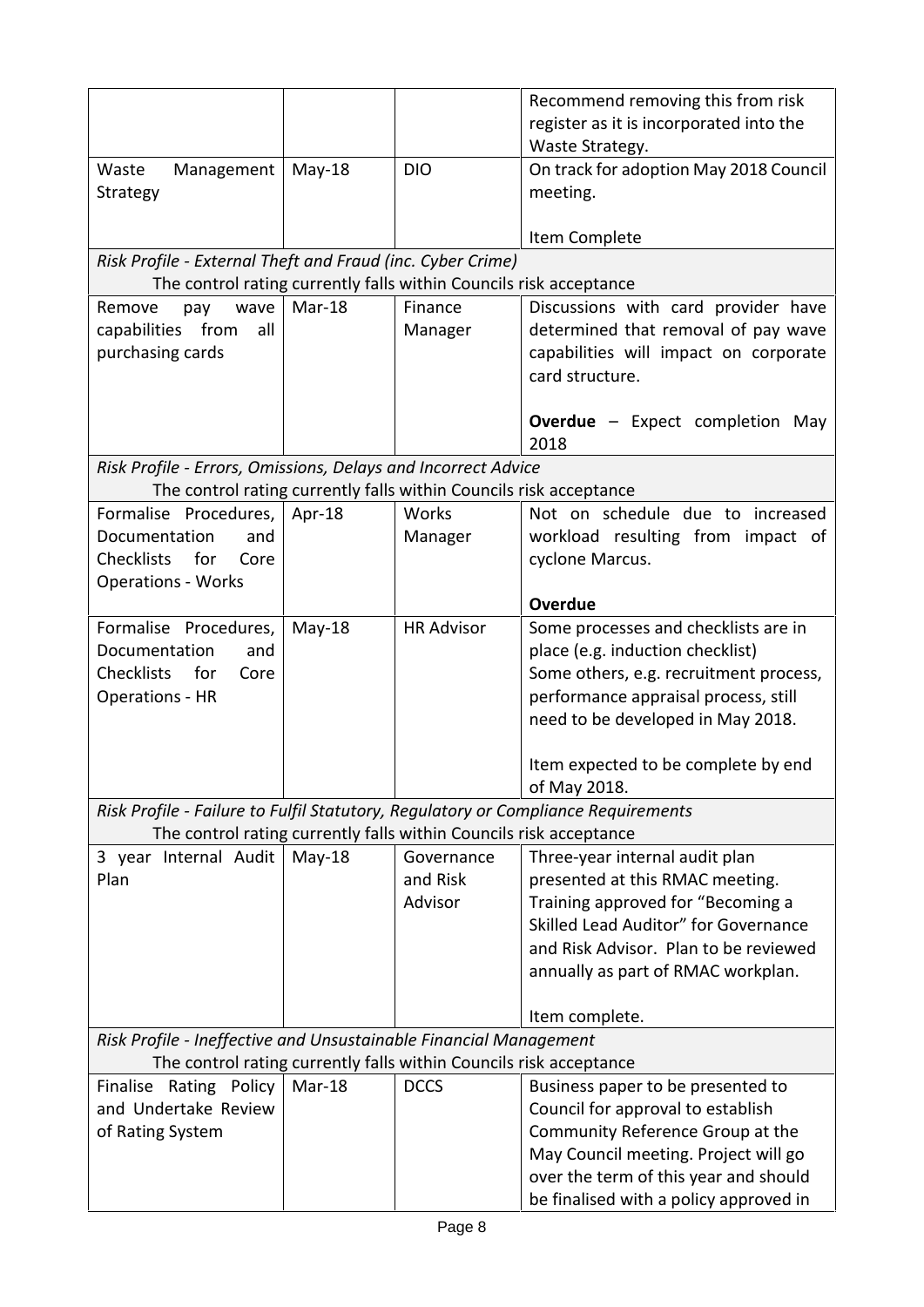|                                                                                   |          |                   | Recommend removing this from risk<br>register as it is incorporated into the<br>Waste Strategy. |
|-----------------------------------------------------------------------------------|----------|-------------------|-------------------------------------------------------------------------------------------------|
| Waste<br>Management                                                               | $May-18$ | <b>DIO</b>        | On track for adoption May 2018 Council                                                          |
| Strategy                                                                          |          |                   | meeting.                                                                                        |
|                                                                                   |          |                   |                                                                                                 |
| Risk Profile - External Theft and Fraud (inc. Cyber Crime)                        |          |                   | Item Complete                                                                                   |
| The control rating currently falls within Councils risk acceptance                |          |                   |                                                                                                 |
| Remove<br>pay<br>wave                                                             | Mar-18   | Finance           | Discussions with card provider have                                                             |
| capabilities from<br>all<br>purchasing cards                                      |          | Manager           | determined that removal of pay wave<br>capabilities will impact on corporate<br>card structure. |
|                                                                                   |          |                   | <b>Overdue</b> - Expect completion May<br>2018                                                  |
| Risk Profile - Errors, Omissions, Delays and Incorrect Advice                     |          |                   |                                                                                                 |
| The control rating currently falls within Councils risk acceptance                |          |                   |                                                                                                 |
| Formalise Procedures,                                                             | Apr-18   | Works             | Not on schedule due to increased                                                                |
| Documentation<br>and                                                              |          | Manager           | workload resulting from impact of                                                               |
| <b>Checklists</b><br>for<br>Core                                                  |          |                   | cyclone Marcus.                                                                                 |
| <b>Operations - Works</b>                                                         |          |                   | <b>Overdue</b>                                                                                  |
| Formalise Procedures,                                                             | $May-18$ | <b>HR Advisor</b> | Some processes and checklists are in                                                            |
| Documentation<br>and                                                              |          |                   | place (e.g. induction checklist)                                                                |
| Checklists<br>for<br>Core                                                         |          |                   | Some others, e.g. recruitment process,                                                          |
| <b>Operations - HR</b>                                                            |          |                   | performance appraisal process, still                                                            |
|                                                                                   |          |                   | need to be developed in May 2018.                                                               |
|                                                                                   |          |                   | Item expected to be complete by end<br>of May 2018.                                             |
| Risk Profile - Failure to Fulfil Statutory, Regulatory or Compliance Requirements |          |                   |                                                                                                 |
| The control rating currently falls within Councils risk acceptance                |          |                   |                                                                                                 |
| 3 year Internal Audit                                                             | $May-18$ | Governance        | Three-year internal audit plan                                                                  |
| Plan                                                                              |          | and Risk          | presented at this RMAC meeting.                                                                 |
|                                                                                   |          | Advisor           | Training approved for "Becoming a                                                               |
|                                                                                   |          |                   | Skilled Lead Auditor" for Governance                                                            |
|                                                                                   |          |                   | and Risk Advisor. Plan to be reviewed                                                           |
|                                                                                   |          |                   | annually as part of RMAC workplan.                                                              |
|                                                                                   |          |                   | Item complete.                                                                                  |
| Risk Profile - Ineffective and Unsustainable Financial Management                 |          |                   |                                                                                                 |
| The control rating currently falls within Councils risk acceptance                |          |                   |                                                                                                 |
| Finalise Rating Policy                                                            | Mar-18   | <b>DCCS</b>       | Business paper to be presented to                                                               |
| and Undertake Review                                                              |          |                   | Council for approval to establish                                                               |
| of Rating System                                                                  |          |                   | Community Reference Group at the                                                                |
|                                                                                   |          |                   | May Council meeting. Project will go                                                            |
|                                                                                   |          |                   | over the term of this year and should                                                           |
|                                                                                   |          |                   | be finalised with a policy approved in                                                          |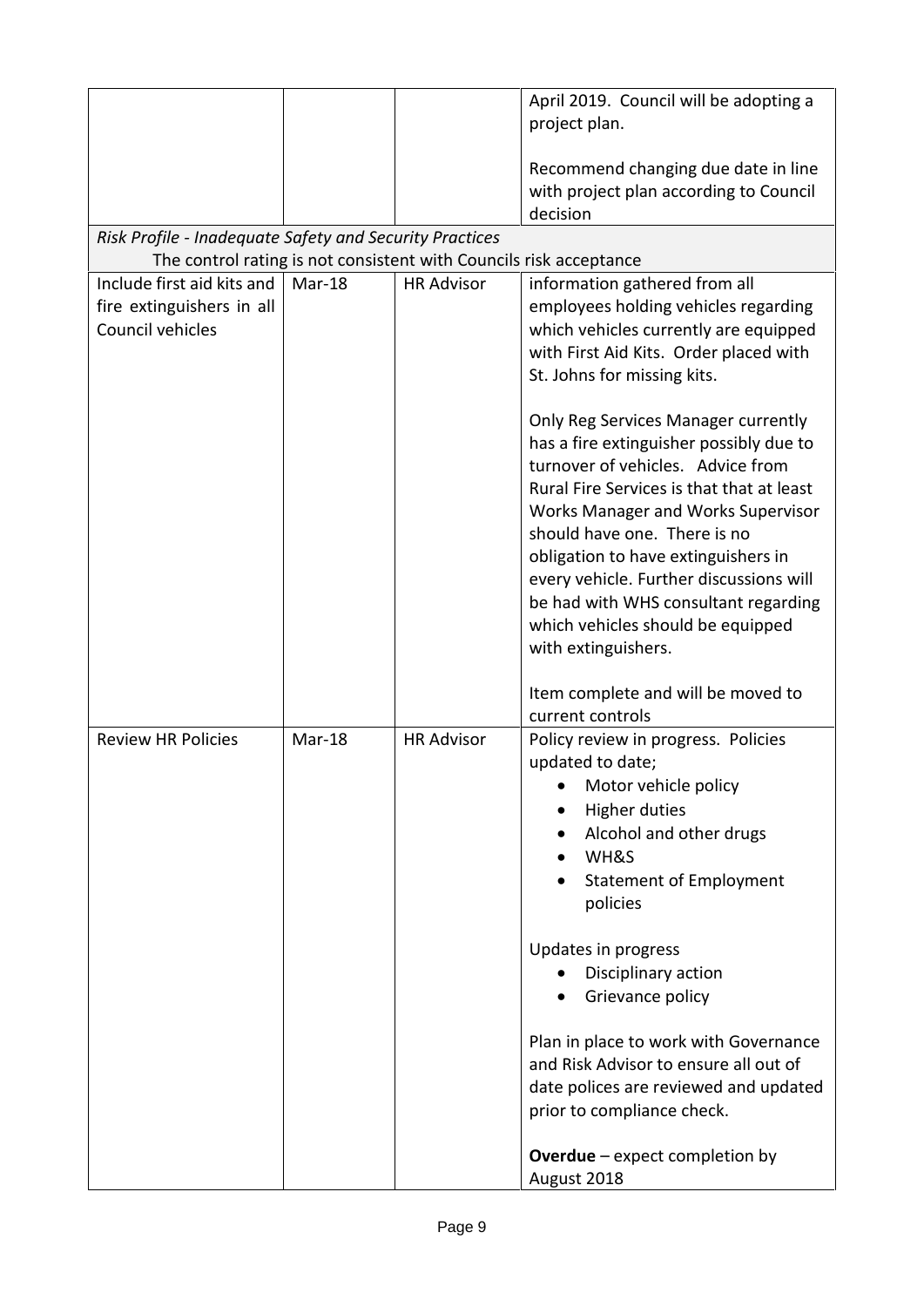|                                                                             |        |                   | April 2019. Council will be adopting a                                                                                                                                                                                                                                                                                                                                                                                       |
|-----------------------------------------------------------------------------|--------|-------------------|------------------------------------------------------------------------------------------------------------------------------------------------------------------------------------------------------------------------------------------------------------------------------------------------------------------------------------------------------------------------------------------------------------------------------|
|                                                                             |        |                   | project plan.                                                                                                                                                                                                                                                                                                                                                                                                                |
|                                                                             |        |                   | Recommend changing due date in line<br>with project plan according to Council<br>decision                                                                                                                                                                                                                                                                                                                                    |
| Risk Profile - Inadequate Safety and Security Practices                     |        |                   |                                                                                                                                                                                                                                                                                                                                                                                                                              |
| The control rating is not consistent with Councils risk acceptance          |        |                   |                                                                                                                                                                                                                                                                                                                                                                                                                              |
| Include first aid kits and<br>fire extinguishers in all<br>Council vehicles | Mar-18 | <b>HR Advisor</b> | information gathered from all<br>employees holding vehicles regarding<br>which vehicles currently are equipped<br>with First Aid Kits. Order placed with<br>St. Johns for missing kits.                                                                                                                                                                                                                                      |
|                                                                             |        |                   | Only Reg Services Manager currently<br>has a fire extinguisher possibly due to<br>turnover of vehicles. Advice from<br>Rural Fire Services is that that at least<br>Works Manager and Works Supervisor<br>should have one. There is no<br>obligation to have extinguishers in<br>every vehicle. Further discussions will<br>be had with WHS consultant regarding<br>which vehicles should be equipped<br>with extinguishers. |
| <b>Review HR Policies</b>                                                   | Mar-18 | <b>HR Advisor</b> | Item complete and will be moved to<br>current controls<br>Policy review in progress. Policies<br>updated to date;<br>Motor vehicle policy<br><b>Higher duties</b><br>Alcohol and other drugs<br>WH&S<br><b>Statement of Employment</b><br>policies                                                                                                                                                                           |
|                                                                             |        |                   | Updates in progress<br>Disciplinary action<br>Grievance policy<br>Plan in place to work with Governance<br>and Risk Advisor to ensure all out of<br>date polices are reviewed and updated<br>prior to compliance check.                                                                                                                                                                                                      |
|                                                                             |        |                   | <b>Overdue</b> – expect completion by<br>August 2018                                                                                                                                                                                                                                                                                                                                                                         |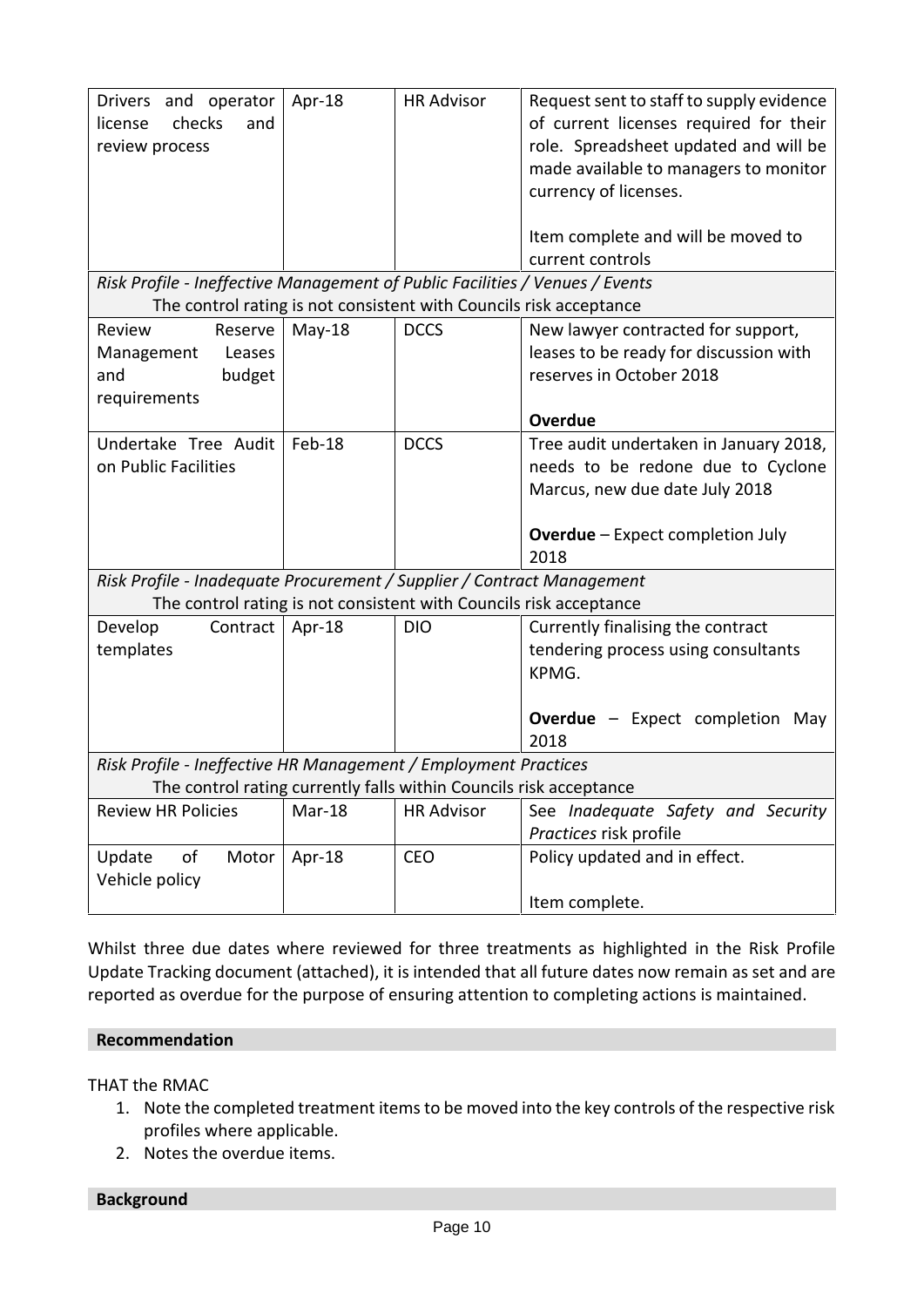|                                                                              | Drivers and operator<br>checks<br>license<br>and<br>review process         | Apr-18   | <b>HR Advisor</b> | Request sent to staff to supply evidence<br>of current licenses required for their<br>role. Spreadsheet updated and will be<br>made available to managers to monitor<br>currency of licenses.<br>Item complete and will be moved to |  |  |  |  |
|------------------------------------------------------------------------------|----------------------------------------------------------------------------|----------|-------------------|-------------------------------------------------------------------------------------------------------------------------------------------------------------------------------------------------------------------------------------|--|--|--|--|
|                                                                              |                                                                            |          |                   | current controls                                                                                                                                                                                                                    |  |  |  |  |
| Risk Profile - Ineffective Management of Public Facilities / Venues / Events |                                                                            |          |                   |                                                                                                                                                                                                                                     |  |  |  |  |
|                                                                              | The control rating is not consistent with Councils risk acceptance         |          |                   |                                                                                                                                                                                                                                     |  |  |  |  |
|                                                                              | Reserve<br>Review<br>Leases<br>Management<br>budget<br>and<br>requirements | $May-18$ | <b>DCCS</b>       | New lawyer contracted for support,<br>leases to be ready for discussion with<br>reserves in October 2018                                                                                                                            |  |  |  |  |
|                                                                              |                                                                            |          |                   | Overdue                                                                                                                                                                                                                             |  |  |  |  |
|                                                                              | Undertake Tree Audit<br>on Public Facilities                               | Feb-18   | <b>DCCS</b>       | Tree audit undertaken in January 2018,<br>needs to be redone due to Cyclone<br>Marcus, new due date July 2018<br><b>Overdue</b> - Expect completion July<br>2018                                                                    |  |  |  |  |
|                                                                              | Risk Profile - Inadequate Procurement / Supplier / Contract Management     |          |                   |                                                                                                                                                                                                                                     |  |  |  |  |
|                                                                              | The control rating is not consistent with Councils risk acceptance         |          |                   |                                                                                                                                                                                                                                     |  |  |  |  |
|                                                                              | Contract<br>Develop<br>templates                                           | Apr-18   | <b>DIO</b>        | Currently finalising the contract<br>tendering process using consultants<br>KPMG.<br><b>Overdue</b> - Expect completion May<br>2018                                                                                                 |  |  |  |  |
|                                                                              | Risk Profile - Ineffective HR Management / Employment Practices            |          |                   |                                                                                                                                                                                                                                     |  |  |  |  |
|                                                                              | The control rating currently falls within Councils risk acceptance         |          |                   |                                                                                                                                                                                                                                     |  |  |  |  |
|                                                                              | <b>Review HR Policies</b>                                                  | Mar-18   | <b>HR Advisor</b> | See Inadequate Safety and Security<br>Practices risk profile                                                                                                                                                                        |  |  |  |  |
|                                                                              | of<br>Update<br>Motor<br>Vehicle policy                                    | Apr-18   | <b>CEO</b>        | Policy updated and in effect.<br>Item complete.                                                                                                                                                                                     |  |  |  |  |
|                                                                              |                                                                            |          |                   |                                                                                                                                                                                                                                     |  |  |  |  |

Whilst three due dates where reviewed for three treatments as highlighted in the Risk Profile Update Tracking document (attached), it is intended that all future dates now remain as set and are reported as overdue for the purpose of ensuring attention to completing actions is maintained.

#### **Recommendation**

THAT the RMAC

- 1. Note the completed treatment items to be moved into the key controls of the respective risk profiles where applicable.
- 2. Notes the overdue items.

**Background**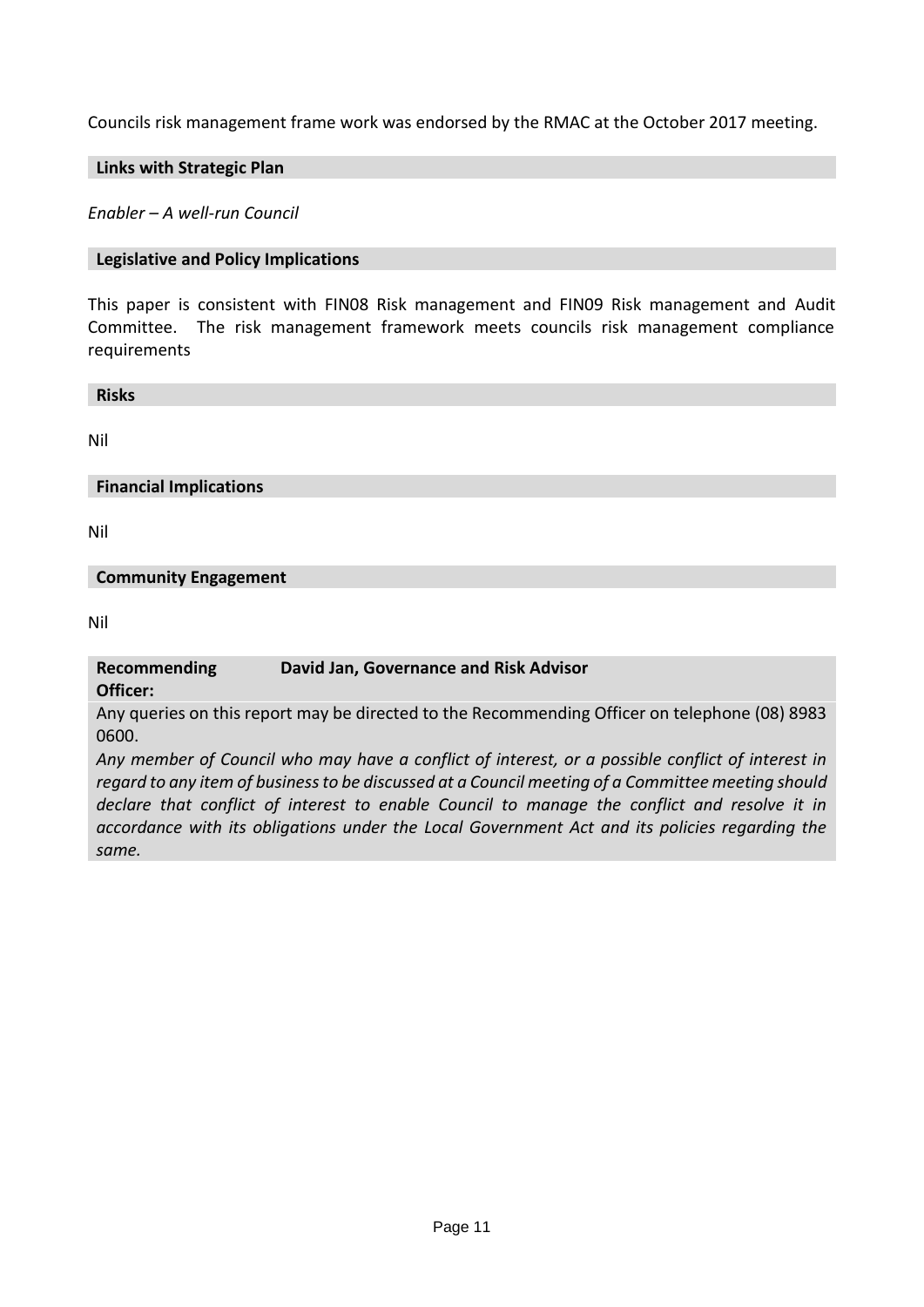Councils risk management frame work was endorsed by the RMAC at the October 2017 meeting.

#### **Links with Strategic Plan**

*Enabler – A well-run Council*

#### **Legislative and Policy Implications**

This paper is consistent with FIN08 Risk management and FIN09 Risk management and Audit Committee. The risk management framework meets councils risk management compliance requirements

**Risks**

Nil

#### **Financial Implications**

Nil

#### **Community Engagement**

Nil

#### **Recommending David Jan, Governance and Risk Advisor**

**Officer:**

Any queries on this report may be directed to the Recommending Officer on telephone (08) 8983 0600.

*Any member of Council who may have a conflict of interest, or a possible conflict of interest in regard to any item of business to be discussed at a Council meeting of a Committee meeting should declare that conflict of interest to enable Council to manage the conflict and resolve it in accordance with its obligations under the Local Government Act and its policies regarding the same.*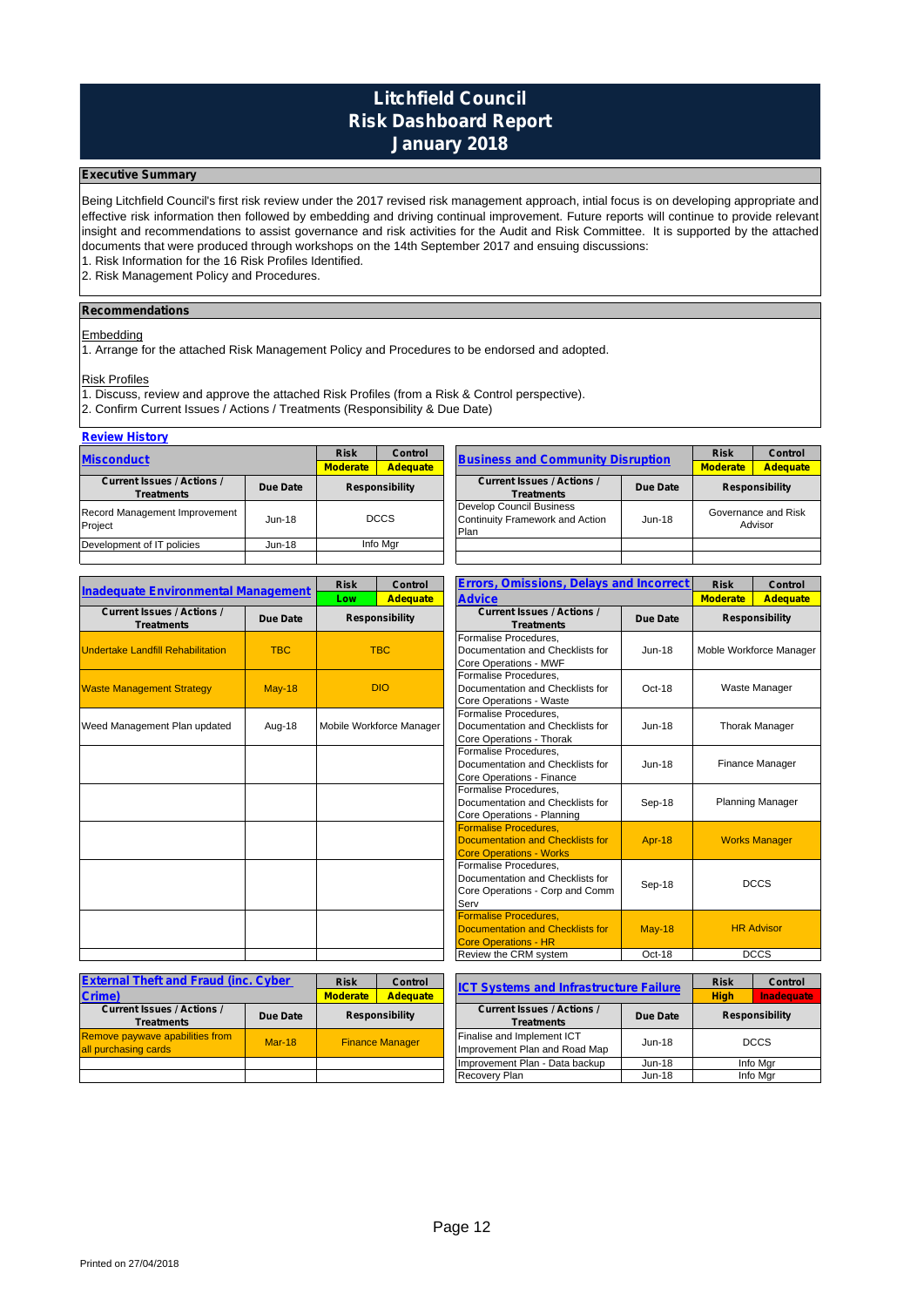### **Litchfield Council Risk Dashboard Report January 2018**

#### **Executive Summary**

Being Litchfield Council's first risk review under the 2017 revised risk management approach, intial focus is on developing appropriate and effective risk information then followed by embedding and driving continual improvement. Future reports will continue to provide relevant insight and recommendations to assist governance and risk activities for the Audit and Risk Committee. It is supported by the attached documents that were produced through workshops on the 14th September 2017 and ensuing discussions:

1. Risk Information for the 16 Risk Profiles Identified.

2. Risk Management Policy and Procedures.

#### **Recommendations**

#### **Embedding**

1. Arrange for the attached Risk Management Policy and Procedures to be endorsed and adopted.

#### Risk Profiles

1. Discuss, review and approve the attached Risk Profiles (from a Risk & Control perspective).

2. Confirm Current Issues / Actions / Treatments (Responsibility & Due Date)

#### **Review History**

| .                                             |               |                       |                                          |                                                                     |               |                       |                                |
|-----------------------------------------------|---------------|-----------------------|------------------------------------------|---------------------------------------------------------------------|---------------|-----------------------|--------------------------------|
| <b>Misconduct</b>                             | <b>Risk</b>   | <b>Control</b>        | <b>Business and Community Disruption</b> |                                                                     | <b>Risk</b>   | <b>Control</b>        |                                |
|                                               |               | <b>Moderate</b>       | <b>Adequate</b>                          |                                                                     |               | <b>Moderate</b>       | <b>Adequate</b>                |
| <b>Current Issues / Actions /</b><br>Due Date |               | <b>Responsibility</b> |                                          | <b>Current Issues / Actions /</b><br>Due Date                       |               | <b>Responsibility</b> |                                |
| Treatments                                    |               |                       |                                          | <b>Treatments</b>                                                   |               |                       |                                |
| Record Management Improvement<br>Project      | $Jun-18$      |                       | <b>DCCS</b>                              | Develop Council Business<br>Continuity Framework and Action<br>Plan | <b>Jun-18</b> |                       | Governance and Risk<br>Advisor |
| Development of IT policies                    | <b>Jun-18</b> |                       | Info Mar                                 |                                                                     |               |                       |                                |
|                                               |               |                       |                                          |                                                                     |               |                       |                                |

| <b>Inadequate Environmental Management</b>             |            | <b>Errors, Omissions, Delays and Incorrect</b><br><b>Risk</b><br>Control |                          | <b>Risk</b>                                                                                          | Control         |                         |                         |
|--------------------------------------------------------|------------|--------------------------------------------------------------------------|--------------------------|------------------------------------------------------------------------------------------------------|-----------------|-------------------------|-------------------------|
|                                                        |            | <b>Advice</b><br><b>Adequate</b><br>Low                                  |                          | <b>Moderate</b>                                                                                      | <b>Adequate</b> |                         |                         |
| <b>Current Issues / Actions /</b><br><b>Treatments</b> | Due Date   |                                                                          | <b>Responsibility</b>    | <b>Current Issues / Actions /</b><br>Due Date<br><b>Treatments</b>                                   |                 | <b>Responsibility</b>   |                         |
| <b>Undertake Landfill Rehabilitation</b>               | <b>TBC</b> |                                                                          | <b>TBC</b>               | Formalise Procedures,<br>Documentation and Checklists for<br>Core Operations - MWF                   | <b>Jun-18</b>   | Moble Workforce Manager |                         |
| <b>Waste Management Strategy</b>                       | $May-18$   |                                                                          | <b>DIO</b>               | Formalise Procedures.<br>Documentation and Checklists for<br>Core Operations - Waste                 | $Oct-18$        | Waste Manager           |                         |
| Weed Management Plan updated                           | Aug-18     |                                                                          | Mobile Workforce Manager | Formalise Procedures.<br>Documentation and Checklists for<br>Core Operations - Thorak                | $Jun-18$        | <b>Thorak Manager</b>   |                         |
|                                                        |            |                                                                          |                          | Formalise Procedures.<br>Documentation and Checklists for<br>Core Operations - Finance               | $Jun-18$        |                         | Finance Manager         |
|                                                        |            |                                                                          |                          | Formalise Procedures.<br>Documentation and Checklists for<br>Core Operations - Planning              | Sep-18          |                         | <b>Planning Manager</b> |
|                                                        |            |                                                                          |                          | Formalise Procedures.<br>Documentation and Checklists for<br><b>Core Operations - Works</b>          | Apr-18          |                         | <b>Works Manager</b>    |
|                                                        |            |                                                                          |                          | Formalise Procedures,<br>Documentation and Checklists for<br>Core Operations - Corp and Comm<br>Serv | Sep-18          |                         | <b>DCCS</b>             |
|                                                        |            |                                                                          |                          | <b>Formalise Procedures.</b><br>Documentation and Checklists for<br><b>Core Operations - HR</b>      | <b>May-18</b>   |                         | <b>HR Advisor</b>       |
|                                                        |            |                                                                          |                          | Review the CRM system                                                                                | Oct-18          |                         | <b>DCCS</b>             |

| <b>External Theft and Fraud (inc. Cyber)</b>                   |                 | <b>Risk</b>            | Control<br><b>ICT Systems and Infrastructure Failure</b> |  | <b>Risk</b>                                                        | Control           |                                |               |  |          |
|----------------------------------------------------------------|-----------------|------------------------|----------------------------------------------------------|--|--------------------------------------------------------------------|-------------------|--------------------------------|---------------|--|----------|
| <b>Crime)</b>                                                  | <b>Moderate</b> | <b>Adequate</b>        |                                                          |  | <b>High</b>                                                        | <b>Inadequate</b> |                                |               |  |          |
| <b>Current Issues / Actions /</b><br><b>Treatments</b>         | Due Date        |                        | <b>Responsibility</b>                                    |  | <b>Current Issues / Actions /</b><br>Due Date<br><b>Treatments</b> |                   | <b>Responsibility</b>          |               |  |          |
| <b>Remove paywave apabilities from</b><br>all purchasing cards | $Mar-18$        | <b>Finance Manager</b> |                                                          |  | Finalise and Implement ICT<br>Improvement Plan and Road Map        | $Jun-18$          |                                | <b>DCCS</b>   |  |          |
|                                                                |                 |                        |                                                          |  |                                                                    |                   | Improvement Plan - Data backup | <b>Jun-18</b> |  | Info Mgr |
|                                                                |                 |                        |                                                          |  | <b>Recovery Plan</b>                                               | <b>Jun-18</b>     |                                | Info Mgr      |  |          |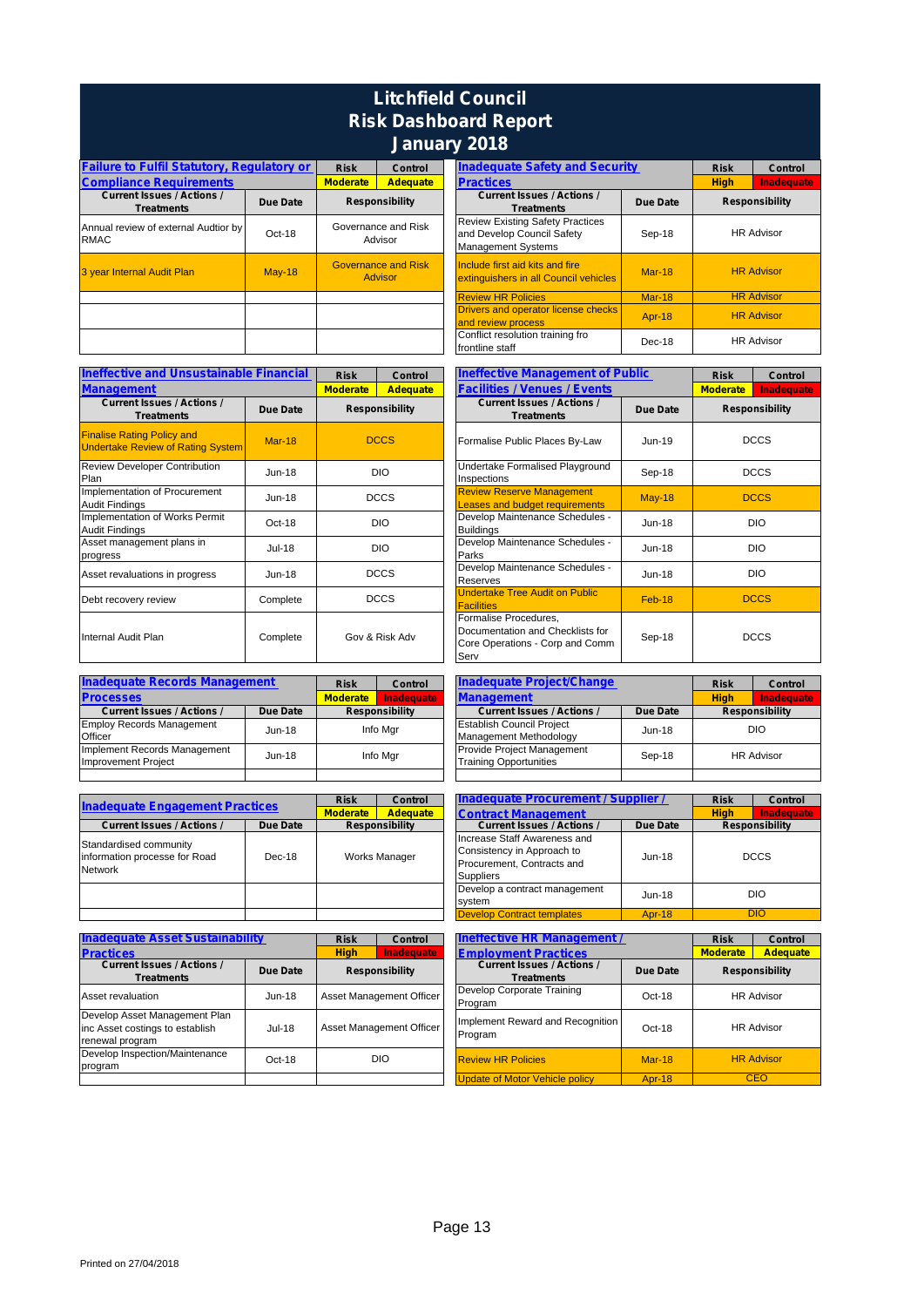## **Litchfield Council Risk Dashboard Report January 2018**

| <b>Failure to Fulfil Statutory, Regulatory or</b>      |               | <b>Risk</b>                           | Control                        | <b>Inadequate Safety and Secul</b>                                                                 |
|--------------------------------------------------------|---------------|---------------------------------------|--------------------------------|----------------------------------------------------------------------------------------------------|
| <b>Compliance Requirements</b>                         |               | <b>Moderate</b>                       | <b>Adequate</b>                | <b>Practices</b>                                                                                   |
| <b>Current Issues / Actions /</b><br><b>Treatments</b> | Due Date      |                                       | <b>Responsibility</b>          | <b>Current Issues / Actions /</b><br><b>Treatments</b>                                             |
| Annual review of external Audtior by<br><b>RMAC</b>    | Oct-18        |                                       | Governance and Risk<br>Advisor | <b>Review Existing Safety Practices</b><br>and Develop Council Safety<br><b>Management Systems</b> |
| 3 year Internal Audit Plan                             | <b>May-18</b> | <b>Governance and Risk</b><br>Advisor |                                | Include first aid kits and fire<br>extinguishers in all Council vehicles                           |
|                                                        |               |                                       |                                | <b>Review HR Policies</b>                                                                          |
|                                                        |               |                                       |                                | <b>Drivers and operator license checks</b>                                                         |
|                                                        |               |                                       |                                | and review process                                                                                 |
|                                                        |               |                                       |                                | Conflict resolution training fro                                                                   |
|                                                        |               |                                       |                                | frontline staff                                                                                    |

| <b>Ineffective and Unsustainable Financial</b>                                | <b>Risk</b><br>Control |                                    |             | <b>Ineffective Management of Public</b>                |                                                                                                      |          |  |
|-------------------------------------------------------------------------------|------------------------|------------------------------------|-------------|--------------------------------------------------------|------------------------------------------------------------------------------------------------------|----------|--|
| <b>Management</b>                                                             |                        | <b>Moderate</b><br><b>Adequate</b> |             |                                                        | <b>Facilities / Venues / Events</b>                                                                  |          |  |
| <b>Current Issues / Actions /</b><br><b>Treatments</b>                        | Due Date               | <b>Responsibility</b>              |             | <b>Current Issues / Actions /</b><br><b>Treatments</b> |                                                                                                      | Due Date |  |
| <b>Finalise Rating Policy and</b><br><b>Undertake Review of Rating System</b> | <b>Mar-18</b>          | <b>DCCS</b>                        |             |                                                        | Formalise Public Places By-Law                                                                       | $Jun-19$ |  |
| Review Developer Contribution<br>Plan                                         | $Jun-18$               |                                    | <b>DIO</b>  |                                                        | Undertake Formalised Playground<br>Inspections                                                       | Sep-18   |  |
| Implementation of Procurement<br><b>Audit Findings</b>                        | $Jun-18$               | <b>DCCS</b>                        |             |                                                        | <b>Review Reserve Management</b><br><b>Leases and budget requirements</b>                            | $May-18$ |  |
| Implementation of Works Permit<br><b>Audit Findings</b>                       | Oct-18                 |                                    | <b>DIO</b>  |                                                        | Develop Maintenance Schedules -<br><b>Buildings</b>                                                  | $Jun-18$ |  |
| Asset management plans in<br>progress                                         | Jul-18                 |                                    | <b>DIO</b>  |                                                        | Develop Maintenance Schedules -<br>Parks                                                             | $Jun-18$ |  |
| Asset revaluations in progress                                                | $Jun-18$               | <b>DCCS</b>                        |             |                                                        | Develop Maintenance Schedules -<br>Reserves                                                          | $Jun-18$ |  |
| Debt recovery review                                                          | Complete               |                                    | <b>DCCS</b> |                                                        | <b>Undertake Tree Audit on Public</b><br><b>Facilities</b>                                           | Feb-18   |  |
| Internal Audit Plan                                                           | Complete               | Gov & Risk Adv                     |             |                                                        | Formalise Procedures,<br>Documentation and Checklists for<br>Core Operations - Corp and Comm<br>Serv | Sep-18   |  |

| <b>Inadequate Records Management</b> | <b>Risk</b> | <b>Inadequate Project/Change</b><br>Control        |  |  | R                                 |          |  |
|--------------------------------------|-------------|----------------------------------------------------|--|--|-----------------------------------|----------|--|
| <b>Processes</b>                     |             | Inadequate<br><b>Moderate</b><br><b>Management</b> |  |  | н                                 |          |  |
| <b>Current Issues / Actions /</b>    | Due Date    | <b>Responsibility</b>                              |  |  | <b>Current Issues / Actions /</b> | Due Date |  |
| <b>Employ Records Management</b>     | $Jun-18$    | Info Mgr                                           |  |  | <b>Establish Council Project</b>  | $Jun-18$ |  |
| Officer                              |             |                                                    |  |  | Management Methodology            |          |  |
| Implement Records Management         | $Jun-18$    | Info Mgr                                           |  |  | Provide Project Management        | Sep-18   |  |
| <b>Improvement Project</b>           |             |                                                    |  |  | <b>Training Opportunities</b>     |          |  |
|                                      |             |                                                    |  |  |                                   |          |  |

|                                                                    | Control<br><b>Risk</b> |                 |                       | Inadequate Procurement / Supplier / |                                                                                                              |               |   |
|--------------------------------------------------------------------|------------------------|-----------------|-----------------------|-------------------------------------|--------------------------------------------------------------------------------------------------------------|---------------|---|
| <b>Inadequate Engagement Practices</b>                             |                        | <b>Moderate</b> | <b>Adequate</b>       |                                     | <b>Contract Management</b>                                                                                   |               | н |
| <b>Current Issues / Actions /</b>                                  | Due Date               |                 | <b>Responsibility</b> |                                     | <b>Current Issues / Actions /</b>                                                                            | Due Date      |   |
| Standardised community<br>information processe for Road<br>Network | $Dec-18$               | Works Manager   |                       |                                     | Increase Staff Awareness and<br>Consistency in Approach to<br>Procurement, Contracts and<br><b>Suppliers</b> | $Jun-18$      |   |
|                                                                    |                        |                 |                       |                                     | Develop a contract management<br>system                                                                      | $Jun-18$      |   |
|                                                                    |                        |                 |                       |                                     | Develop Contract templates                                                                                   | <b>Apr-18</b> |   |

| <b>Inadequate Asset Sustainability</b>                                              | <b>Risk</b> | Control     | <b>Ineffective HR Management</b> |                                             |
|-------------------------------------------------------------------------------------|-------------|-------------|----------------------------------|---------------------------------------------|
| <b>Practices</b>                                                                    |             | <b>High</b> | <b>Inadequate</b>                | <b>Employment Practices</b>                 |
| <b>Current Issues / Actions /</b>                                                   | Due Date    |             | <b>Responsibility</b>            | <b>Current Issues / Actions /</b>           |
| <b>Treatments</b>                                                                   |             |             |                                  | <b>Treatments</b>                           |
| Asset revaluation                                                                   | $Jun-18$    |             | Asset Management Officer         | Develop Corporate Training<br>Program       |
| Develop Asset Management Plan<br>inc Asset costings to establish<br>renewal program | $Jul-18$    |             | Asset Management Officer         | Implement Reward and Recognition<br>Program |
| Develop Inspection/Maintenance<br>program                                           | Oct-18      | <b>DIO</b>  |                                  | <b>Review HR Policies</b>                   |
|                                                                                     |             |             |                                  | <b>Update of Motor Vehicle policy</b>       |

| <b>Risk</b>     | Control                               | <b>Inadequate Safety and Security</b>                                                              |               | <b>Risk</b>           | Control           |  |
|-----------------|---------------------------------------|----------------------------------------------------------------------------------------------------|---------------|-----------------------|-------------------|--|
| <b>Moderate</b> | <b>Adequate</b>                       | <b>Practices</b>                                                                                   |               | <b>High</b>           | <b>Inadequate</b> |  |
|                 | <b>Responsibility</b>                 | <b>Current Issues / Actions /</b><br><b>Treatments</b>                                             | Due Date      | <b>Responsibility</b> |                   |  |
|                 | Governance and Risk<br>Advisor        | <b>Review Existing Safety Practices</b><br>and Develop Council Safety<br><b>Management Systems</b> | Sep-18        | <b>HR Advisor</b>     |                   |  |
|                 | <b>Governance and Risk</b><br>Advisor | Include first aid kits and fire<br>extinguishers in all Council vehicles                           | $Mar-18$      |                       | <b>HR Advisor</b> |  |
|                 |                                       | <b>Review HR Policies</b>                                                                          | <b>Mar-18</b> |                       | <b>HR Advisor</b> |  |
|                 |                                       | Drivers and operator license checks<br>and review process                                          | Apr-18        |                       | <b>HR Advisor</b> |  |
|                 |                                       | Conflict resolution training fro<br>frontline staff                                                | $Dec-18$      |                       | <b>HR Advisor</b> |  |

| nancial  | <b>Risk</b>     | Control               | <b>Ineffective Management of Public</b>                                                              |                 | <b>Risk</b>     | Control               |
|----------|-----------------|-----------------------|------------------------------------------------------------------------------------------------------|-----------------|-----------------|-----------------------|
|          | <b>Moderate</b> | <b>Adequate</b>       | <b>Facilities / Venues / Events</b>                                                                  |                 | <b>Moderate</b> | <b>Inadequate</b>     |
| ue Date  |                 | <b>Responsibility</b> | <b>Current Issues / Actions /</b><br><b>Treatments</b>                                               | <b>Due Date</b> |                 | <b>Responsibility</b> |
| $Mar-18$ | <b>DCCS</b>     |                       | Formalise Public Places By-Law                                                                       | Jun-19          |                 | <b>DCCS</b>           |
| Jun-18   |                 | <b>DIO</b>            | Undertake Formalised Playground<br>Inspections                                                       | Sep-18          |                 | <b>DCCS</b>           |
| Jun-18   |                 | <b>DCCS</b>           | <b>Review Reserve Management</b><br><b>Leases and budget requirements</b>                            | <b>May-18</b>   |                 | <b>DCCS</b>           |
| Oct-18   |                 | <b>DIO</b>            | Develop Maintenance Schedules -<br><b>Buildings</b>                                                  | <b>Jun-18</b>   |                 | <b>DIO</b>            |
| Jul-18   | <b>DIO</b>      |                       | Develop Maintenance Schedules -<br>Parks                                                             | Jun-18          |                 | <b>DIO</b>            |
| Jun-18   | <b>DCCS</b>     |                       | Develop Maintenance Schedules -<br>Reserves                                                          | <b>Jun-18</b>   |                 | <b>DIO</b>            |
| omplete  | <b>DCCS</b>     |                       | <b>Undertake Tree Audit on Public</b><br><b>Facilities</b>                                           | Feb-18          |                 | <b>DCCS</b>           |
| omplete  | Gov & Risk Adv  |                       | Formalise Procedures,<br>Documentation and Checklists for<br>Core Operations - Corp and Comm<br>Serv | Sep-18          |                 | <b>DCCS</b>           |

| <b>Risk</b>     | Control               | <b>Inadequate Project/Change</b>  |          |                   |                       |
|-----------------|-----------------------|-----------------------------------|----------|-------------------|-----------------------|
| <b>Moderate</b> | Inadequate            | <b>Management</b>                 |          | <b>High</b>       | <b>Inadequate</b>     |
|                 | <b>Responsibility</b> | <b>Current Issues / Actions /</b> | Due Date |                   | <b>Responsibility</b> |
| Info Mgr        |                       | <b>Establish Council Project</b>  | $Jun-18$ | <b>DIO</b>        |                       |
|                 |                       | Management Methodology            |          |                   |                       |
| Info Mgr        |                       | Provide Project Management        | Sep-18   | <b>HR Advisor</b> |                       |
|                 |                       | <b>Training Opportunities</b>     |          |                   |                       |
|                 |                       |                                   |          |                   |                       |

| <b>Risk</b>     | Control               | Inadequate Procurement / Supplier                                                                            |               | <b>Risk</b> | Control               |
|-----------------|-----------------------|--------------------------------------------------------------------------------------------------------------|---------------|-------------|-----------------------|
| <b>Moderate</b> | <b>Adequate</b>       | <b>Contract Management</b>                                                                                   |               | <b>High</b> | <b>Inadequate</b>     |
|                 | <b>Responsibility</b> | <b>Current Issues / Actions /</b>                                                                            | Due Date      |             | <b>Responsibility</b> |
| Works Manager   |                       | Increase Staff Awareness and<br>Consistency in Approach to<br>Procurement, Contracts and<br><b>Suppliers</b> | $Jun-18$      | <b>DCCS</b> |                       |
|                 |                       | Develop a contract management<br>system                                                                      | $Jun-18$      |             | <b>DIO</b>            |
|                 |                       | <b>Develop Contract templates</b>                                                                            | <b>Apr-18</b> |             | <b>DIO</b>            |

|               | <b>Risk</b><br><b>High</b> | <b>Control</b><br><b>Inadequate</b> | Ineffective HR Management<br><b>Employment Practices</b>           |          | <b>Risk</b><br><b>Moderate</b> | <b>Control</b><br><b>Adequate</b> |
|---------------|----------------------------|-------------------------------------|--------------------------------------------------------------------|----------|--------------------------------|-----------------------------------|
| ue Date       | <b>Responsibility</b>      |                                     | <b>Current Issues / Actions /</b><br>Due Date<br><b>Treatments</b> |          | <b>Responsibility</b>          |                                   |
| Jun-18        | Asset Management Officer   |                                     | Develop Corporate Training<br>Program                              | $Oct-18$ | <b>HR Advisor</b>              |                                   |
| <b>Jul-18</b> | Asset Management Officer   |                                     | Implement Reward and Recognition<br>Program                        | Oct-18   |                                | <b>HR Advisor</b>                 |
| Oct-18        | <b>DIO</b>                 |                                     | <b>Review HR Policies</b>                                          | $Mar-18$ | <b>HR Advisor</b>              |                                   |
|               |                            |                                     | <b>Update of Motor Vehicle policy</b>                              | Apr-18   |                                | <b>CEO</b>                        |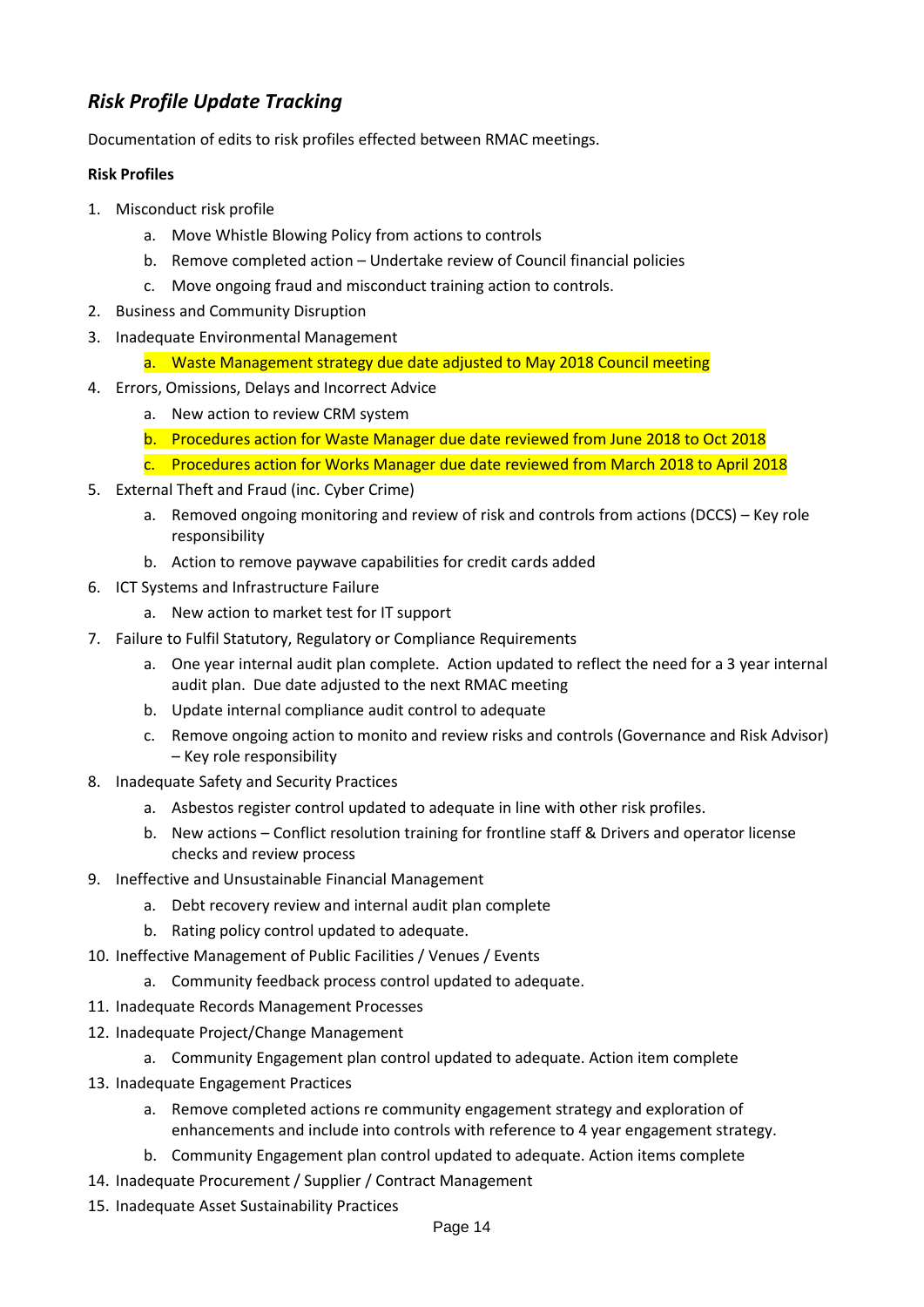## *Risk Profile Update Tracking*

Documentation of edits to risk profiles effected between RMAC meetings.

#### **Risk Profiles**

- 1. Misconduct risk profile
	- a. Move Whistle Blowing Policy from actions to controls
	- b. Remove completed action Undertake review of Council financial policies
	- c. Move ongoing fraud and misconduct training action to controls.
- 2. Business and Community Disruption
- 3. Inadequate Environmental Management
	- a. Waste Management strategy due date adjusted to May 2018 Council meeting
- 4. Errors, Omissions, Delays and Incorrect Advice
	- a. New action to review CRM system
	- b. Procedures action for Waste Manager due date reviewed from June 2018 to Oct 2018
	- c. Procedures action for Works Manager due date reviewed from March 2018 to April 2018
- 5. External Theft and Fraud (inc. Cyber Crime)
	- a. Removed ongoing monitoring and review of risk and controls from actions (DCCS) Key role responsibility
	- b. Action to remove paywave capabilities for credit cards added
- 6. ICT Systems and Infrastructure Failure
	- a. New action to market test for IT support
- 7. Failure to Fulfil Statutory, Regulatory or Compliance Requirements
	- a. One year internal audit plan complete. Action updated to reflect the need for a 3 year internal audit plan. Due date adjusted to the next RMAC meeting
	- b. Update internal compliance audit control to adequate
	- c. Remove ongoing action to monito and review risks and controls (Governance and Risk Advisor) – Key role responsibility
- 8. Inadequate Safety and Security Practices
	- a. Asbestos register control updated to adequate in line with other risk profiles.
	- b. New actions Conflict resolution training for frontline staff & Drivers and operator license checks and review process
- 9. Ineffective and Unsustainable Financial Management
	- a. Debt recovery review and internal audit plan complete
	- b. Rating policy control updated to adequate.
- 10. Ineffective Management of Public Facilities / Venues / Events
	- a. Community feedback process control updated to adequate.
- 11. Inadequate Records Management Processes
- 12. Inadequate Project/Change Management
	- a. Community Engagement plan control updated to adequate. Action item complete
- 13. Inadequate Engagement Practices
	- a. Remove completed actions re community engagement strategy and exploration of enhancements and include into controls with reference to 4 year engagement strategy.
	- b. Community Engagement plan control updated to adequate. Action items complete
- 14. Inadequate Procurement / Supplier / Contract Management
- 15. Inadequate Asset Sustainability Practices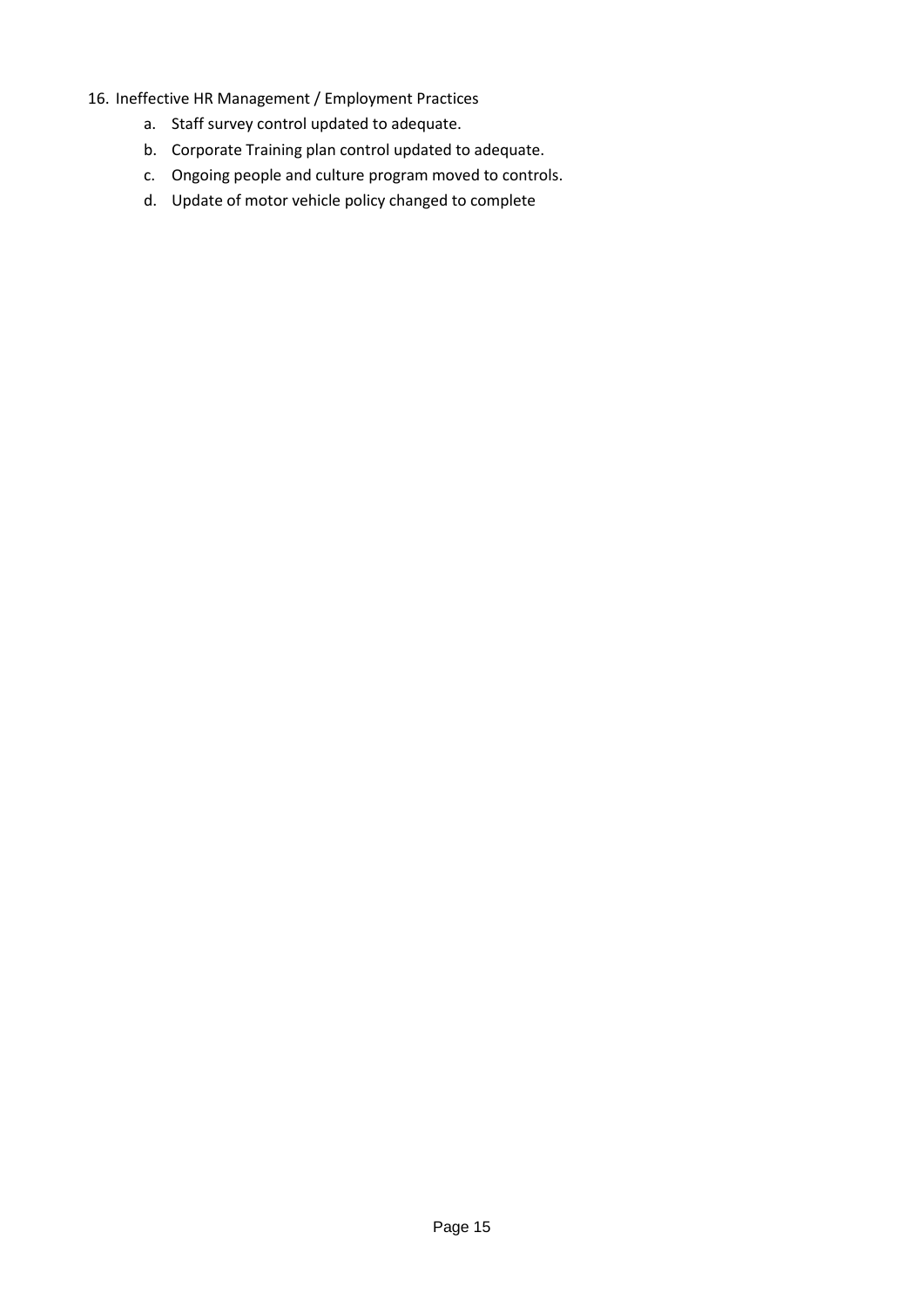- 16. Ineffective HR Management / Employment Practices
	- a. Staff survey control updated to adequate.
	- b. Corporate Training plan control updated to adequate.
	- c. Ongoing people and culture program moved to controls.
	- d. Update of motor vehicle policy changed to complete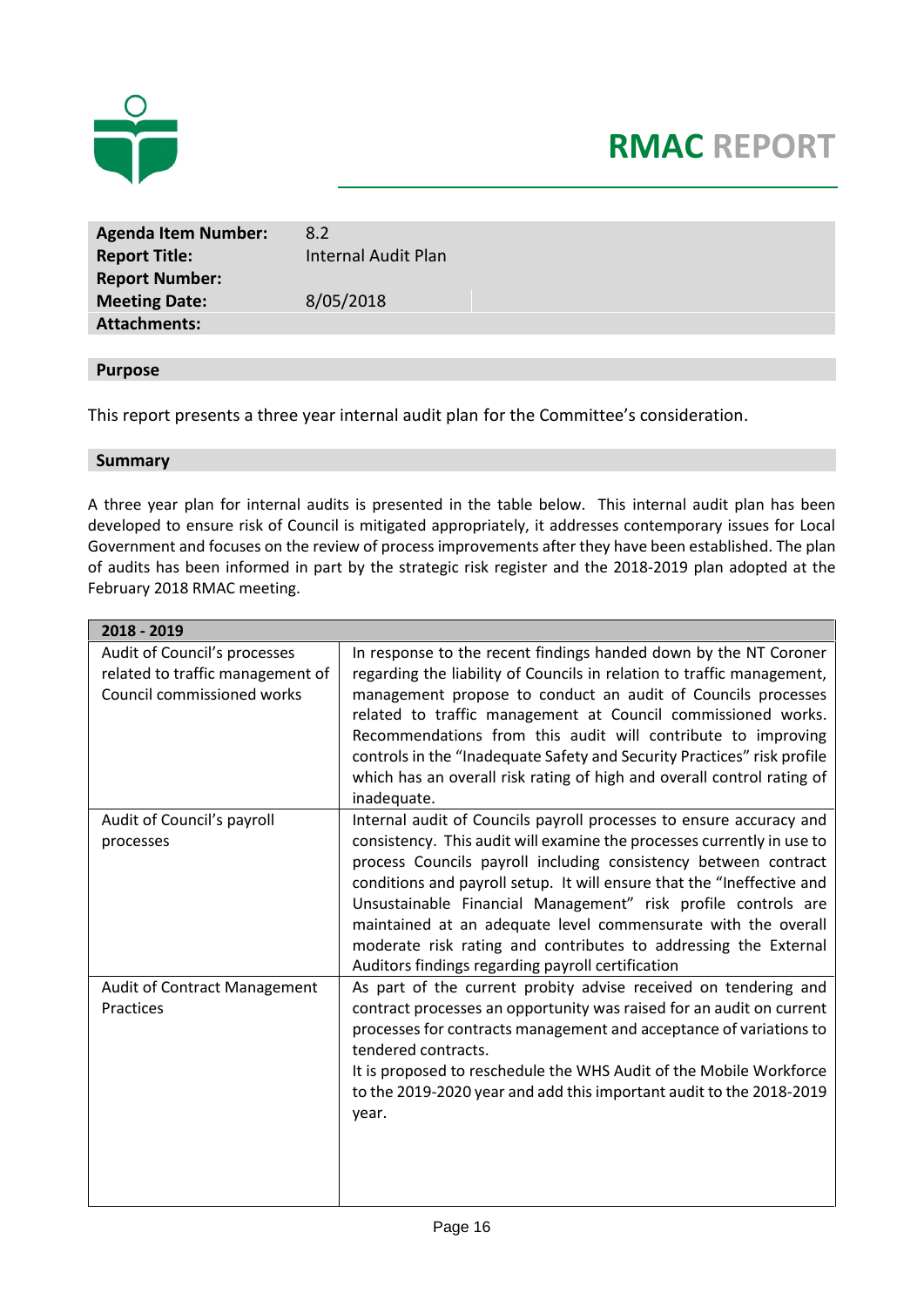

## **RMAC REPORT**

**Agenda Item Number:** 8.2 **Report Title:** Internal Audit Plan **Report Number: Meeting Date:** 8/05/2018 **Attachments:**

#### **Purpose**

This report presents a three year internal audit plan for the Committee's consideration.

#### **Summary**

A three year plan for internal audits is presented in the table below. This internal audit plan has been developed to ensure risk of Council is mitigated appropriately, it addresses contemporary issues for Local Government and focuses on the review of process improvements after they have been established. The plan of audits has been informed in part by the strategic risk register and the 2018-2019 plan adopted at the February 2018 RMAC meeting.

| 2018 - 2019                                                                                    |                                                                                                                                                                                                                                                                                                                                                                                                                                                                                                                                                      |
|------------------------------------------------------------------------------------------------|------------------------------------------------------------------------------------------------------------------------------------------------------------------------------------------------------------------------------------------------------------------------------------------------------------------------------------------------------------------------------------------------------------------------------------------------------------------------------------------------------------------------------------------------------|
| Audit of Council's processes<br>related to traffic management of<br>Council commissioned works | In response to the recent findings handed down by the NT Coroner<br>regarding the liability of Councils in relation to traffic management,<br>management propose to conduct an audit of Councils processes<br>related to traffic management at Council commissioned works.<br>Recommendations from this audit will contribute to improving<br>controls in the "Inadequate Safety and Security Practices" risk profile<br>which has an overall risk rating of high and overall control rating of<br>inadequate.                                       |
| Audit of Council's payroll<br>processes                                                        | Internal audit of Councils payroll processes to ensure accuracy and<br>consistency. This audit will examine the processes currently in use to<br>process Councils payroll including consistency between contract<br>conditions and payroll setup. It will ensure that the "Ineffective and<br>Unsustainable Financial Management" risk profile controls are<br>maintained at an adequate level commensurate with the overall<br>moderate risk rating and contributes to addressing the External<br>Auditors findings regarding payroll certification |
| Audit of Contract Management<br>Practices                                                      | As part of the current probity advise received on tendering and<br>contract processes an opportunity was raised for an audit on current<br>processes for contracts management and acceptance of variations to<br>tendered contracts.<br>It is proposed to reschedule the WHS Audit of the Mobile Workforce<br>to the 2019-2020 year and add this important audit to the 2018-2019<br>year.                                                                                                                                                           |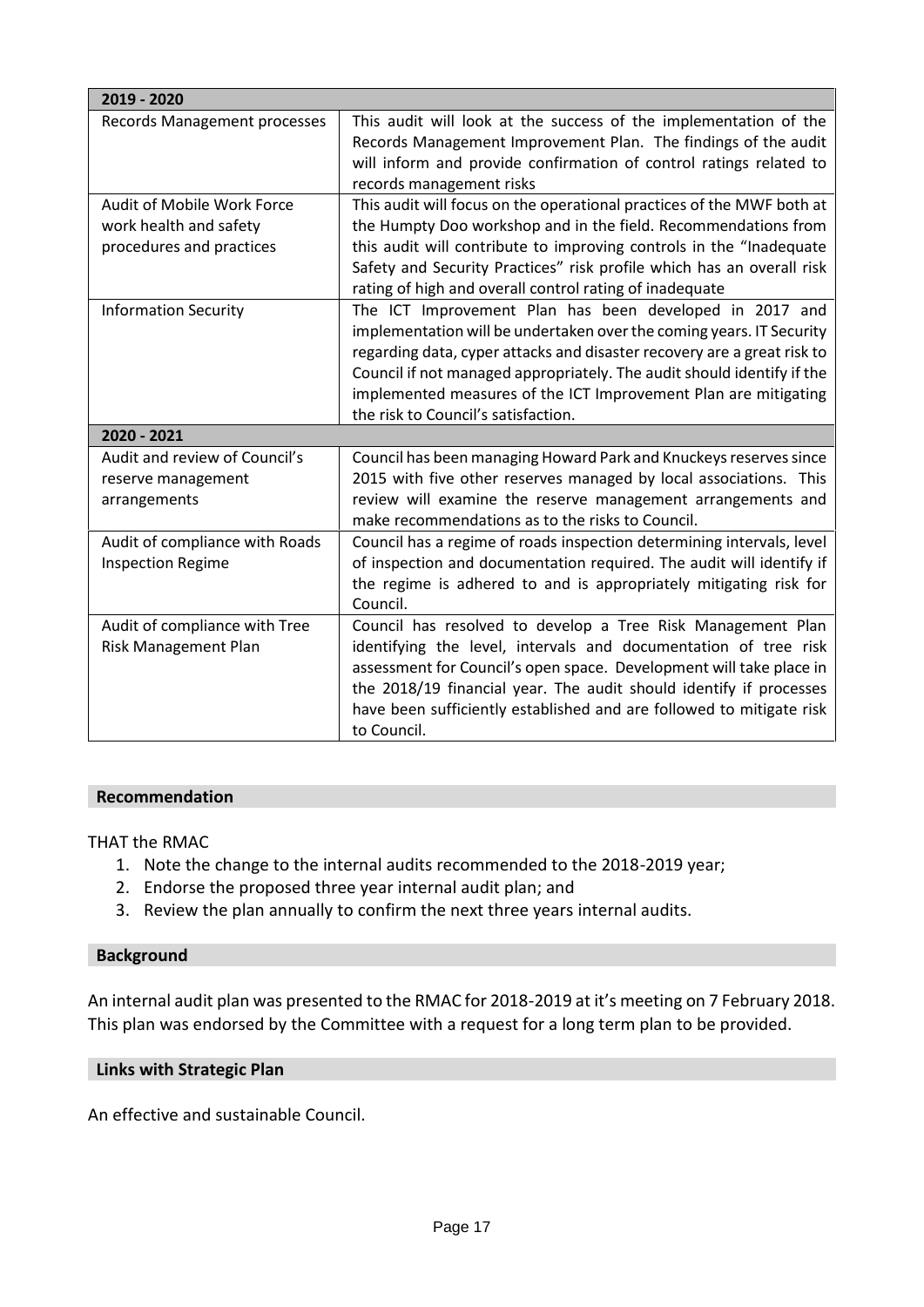| 2019 - 2020                    |                                                                                                                                  |
|--------------------------------|----------------------------------------------------------------------------------------------------------------------------------|
| Records Management processes   | This audit will look at the success of the implementation of the                                                                 |
|                                | Records Management Improvement Plan. The findings of the audit                                                                   |
|                                | will inform and provide confirmation of control ratings related to                                                               |
|                                | records management risks                                                                                                         |
| Audit of Mobile Work Force     | This audit will focus on the operational practices of the MWF both at                                                            |
| work health and safety         | the Humpty Doo workshop and in the field. Recommendations from                                                                   |
| procedures and practices       | this audit will contribute to improving controls in the "Inadequate                                                              |
|                                | Safety and Security Practices" risk profile which has an overall risk<br>rating of high and overall control rating of inadequate |
| <b>Information Security</b>    | The ICT Improvement Plan has been developed in 2017 and                                                                          |
|                                | implementation will be undertaken over the coming years. IT Security                                                             |
|                                | regarding data, cyper attacks and disaster recovery are a great risk to                                                          |
|                                | Council if not managed appropriately. The audit should identify if the                                                           |
|                                | implemented measures of the ICT Improvement Plan are mitigating                                                                  |
|                                | the risk to Council's satisfaction.                                                                                              |
| 2020 - 2021                    |                                                                                                                                  |
| Audit and review of Council's  | Council has been managing Howard Park and Knuckeys reserves since                                                                |
| reserve management             | 2015 with five other reserves managed by local associations. This                                                                |
| arrangements                   | review will examine the reserve management arrangements and<br>make recommendations as to the risks to Council.                  |
| Audit of compliance with Roads | Council has a regime of roads inspection determining intervals, level                                                            |
| <b>Inspection Regime</b>       | of inspection and documentation required. The audit will identify if                                                             |
|                                | the regime is adhered to and is appropriately mitigating risk for<br>Council.                                                    |
| Audit of compliance with Tree  | Council has resolved to develop a Tree Risk Management Plan                                                                      |
| Risk Management Plan           | identifying the level, intervals and documentation of tree risk                                                                  |
|                                | assessment for Council's open space. Development will take place in                                                              |
|                                | the 2018/19 financial year. The audit should identify if processes                                                               |
|                                | have been sufficiently established and are followed to mitigate risk<br>to Council.                                              |

#### **Recommendation**

THAT the RMAC

- 1. Note the change to the internal audits recommended to the 2018-2019 year;
- 2. Endorse the proposed three year internal audit plan; and
- 3. Review the plan annually to confirm the next three years internal audits.

#### **Background**

An internal audit plan was presented to the RMAC for 2018-2019 at it's meeting on 7 February 2018. This plan was endorsed by the Committee with a request for a long term plan to be provided.

#### **Links with Strategic Plan**

An effective and sustainable Council.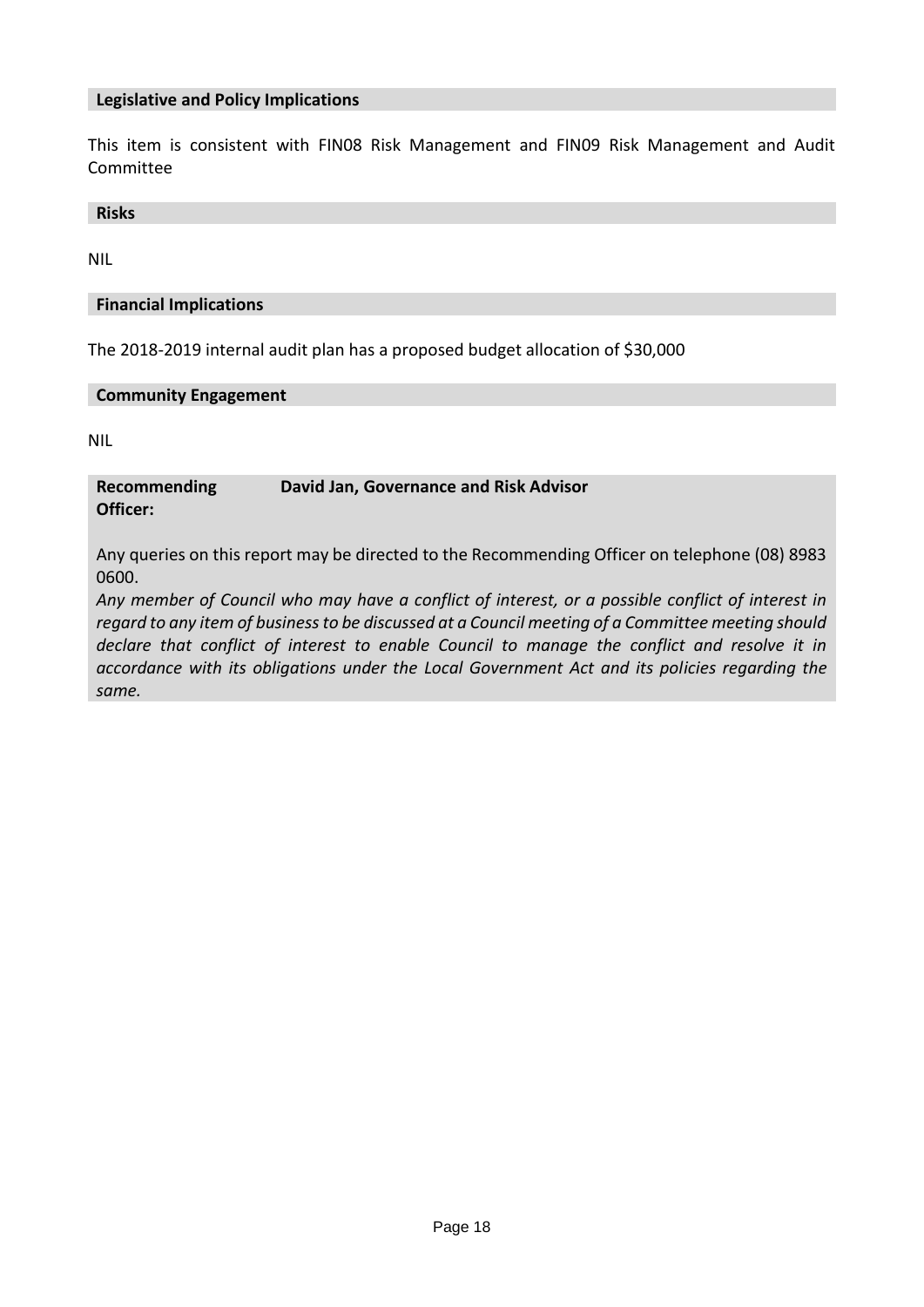#### **Legislative and Policy Implications**

This item is consistent with FIN08 Risk Management and FIN09 Risk Management and Audit Committee

**Risks**

NIL

#### **Financial Implications**

The 2018-2019 internal audit plan has a proposed budget allocation of \$30,000

#### **Community Engagement**

NIL

**Recommending Officer: David Jan, Governance and Risk Advisor**

Any queries on this report may be directed to the Recommending Officer on telephone (08) 8983 0600.

*Any member of Council who may have a conflict of interest, or a possible conflict of interest in regard to any item of business to be discussed at a Council meeting of a Committee meeting should declare that conflict of interest to enable Council to manage the conflict and resolve it in accordance with its obligations under the Local Government Act and its policies regarding the same.*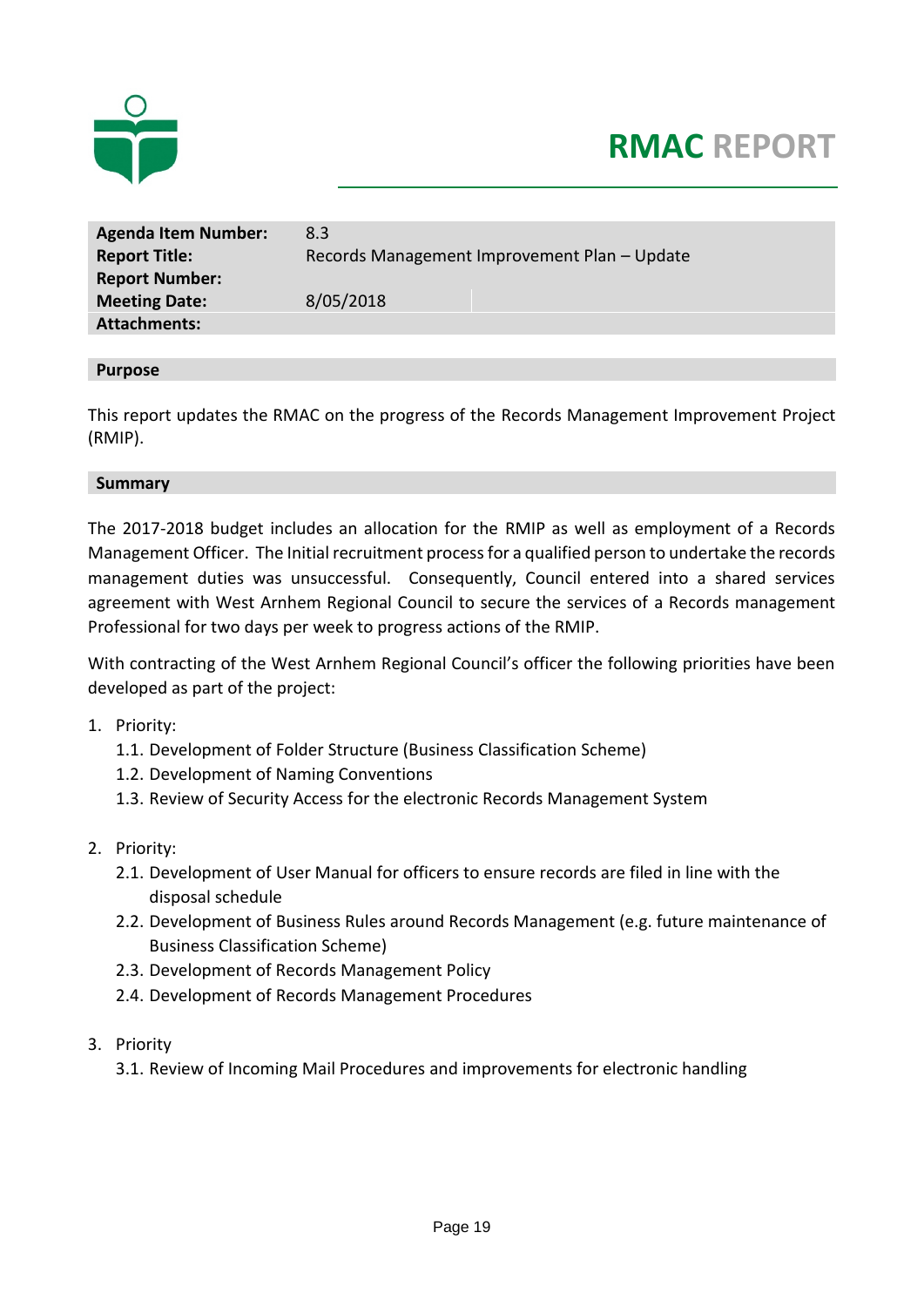

# **RMAC REPORT**

| <b>Agenda Item Number:</b> | 8.3                                          |
|----------------------------|----------------------------------------------|
| <b>Report Title:</b>       | Records Management Improvement Plan - Update |
| <b>Report Number:</b>      |                                              |
| <b>Meeting Date:</b>       | 8/05/2018                                    |
| <b>Attachments:</b>        |                                              |

#### **Purpose**

This report updates the RMAC on the progress of the Records Management Improvement Project (RMIP).

#### **Summary**

The 2017-2018 budget includes an allocation for the RMIP as well as employment of a Records Management Officer. The Initial recruitment processfor a qualified person to undertake the records management duties was unsuccessful. Consequently, Council entered into a shared services agreement with West Arnhem Regional Council to secure the services of a Records management Professional for two days per week to progress actions of the RMIP.

With contracting of the West Arnhem Regional Council's officer the following priorities have been developed as part of the project:

- 1. Priority:
	- 1.1. Development of Folder Structure (Business Classification Scheme)
	- 1.2. Development of Naming Conventions
	- 1.3. Review of Security Access for the electronic Records Management System
- 2. Priority:
	- 2.1. Development of User Manual for officers to ensure records are filed in line with the disposal schedule
	- 2.2. Development of Business Rules around Records Management (e.g. future maintenance of Business Classification Scheme)
	- 2.3. Development of Records Management Policy
	- 2.4. Development of Records Management Procedures
- 3. Priority
	- 3.1. Review of Incoming Mail Procedures and improvements for electronic handling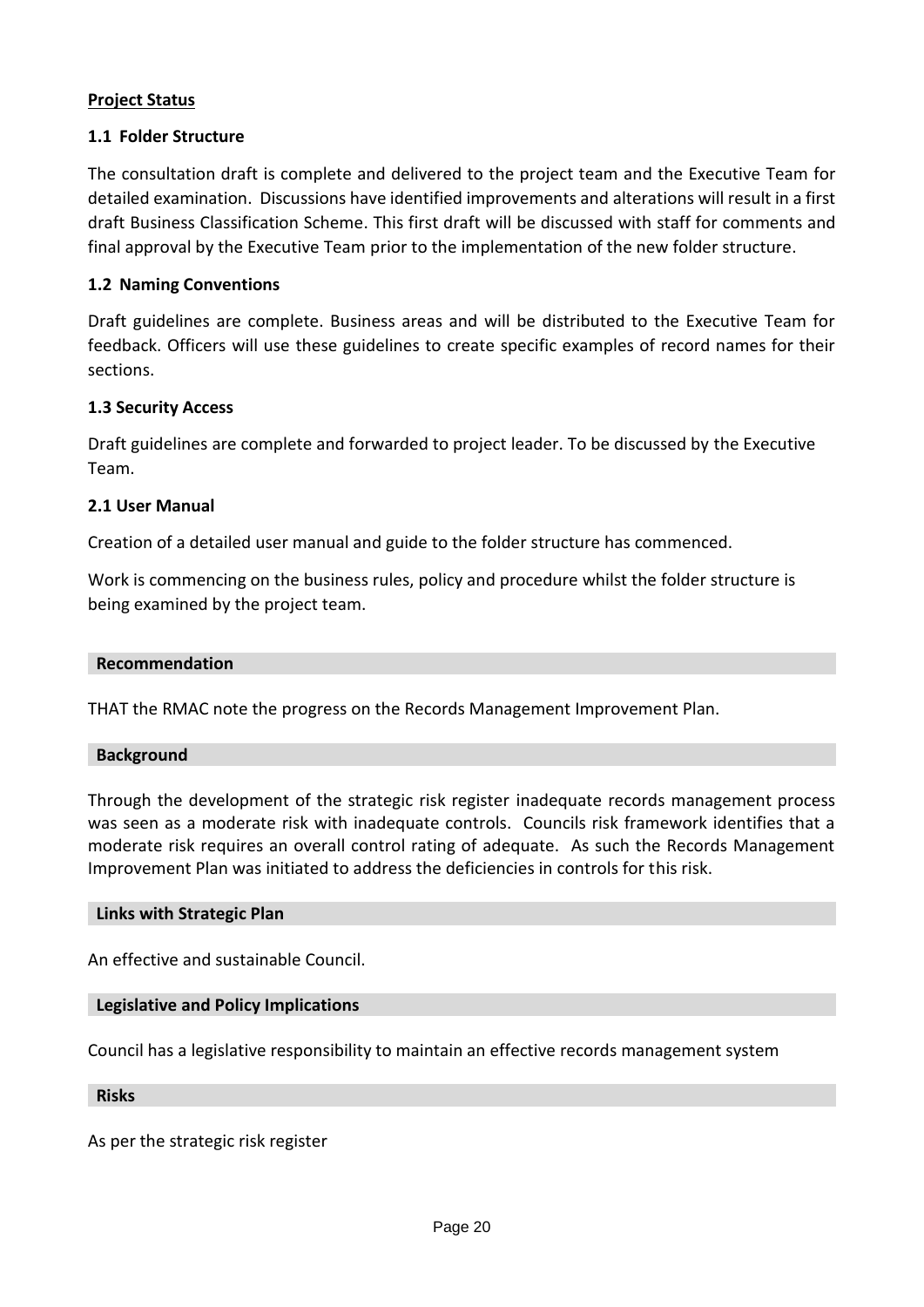### **Project Status**

### **1.1 Folder Structure**

The consultation draft is complete and delivered to the project team and the Executive Team for detailed examination. Discussions have identified improvements and alterations will result in a first draft Business Classification Scheme. This first draft will be discussed with staff for comments and final approval by the Executive Team prior to the implementation of the new folder structure.

#### **1.2 Naming Conventions**

Draft guidelines are complete. Business areas and will be distributed to the Executive Team for feedback. Officers will use these guidelines to create specific examples of record names for their sections.

#### **1.3 Security Access**

Draft guidelines are complete and forwarded to project leader. To be discussed by the Executive Team.

### **2.1 User Manual**

Creation of a detailed user manual and guide to the folder structure has commenced.

Work is commencing on the business rules, policy and procedure whilst the folder structure is being examined by the project team.

#### **Recommendation**

THAT the RMAC note the progress on the Records Management Improvement Plan.

#### **Background**

Through the development of the strategic risk register inadequate records management process was seen as a moderate risk with inadequate controls. Councils risk framework identifies that a moderate risk requires an overall control rating of adequate. As such the Records Management Improvement Plan was initiated to address the deficiencies in controls for this risk.

#### **Links with Strategic Plan**

An effective and sustainable Council.

#### **Legislative and Policy Implications**

Council has a legislative responsibility to maintain an effective records management system

#### **Risks**

As per the strategic risk register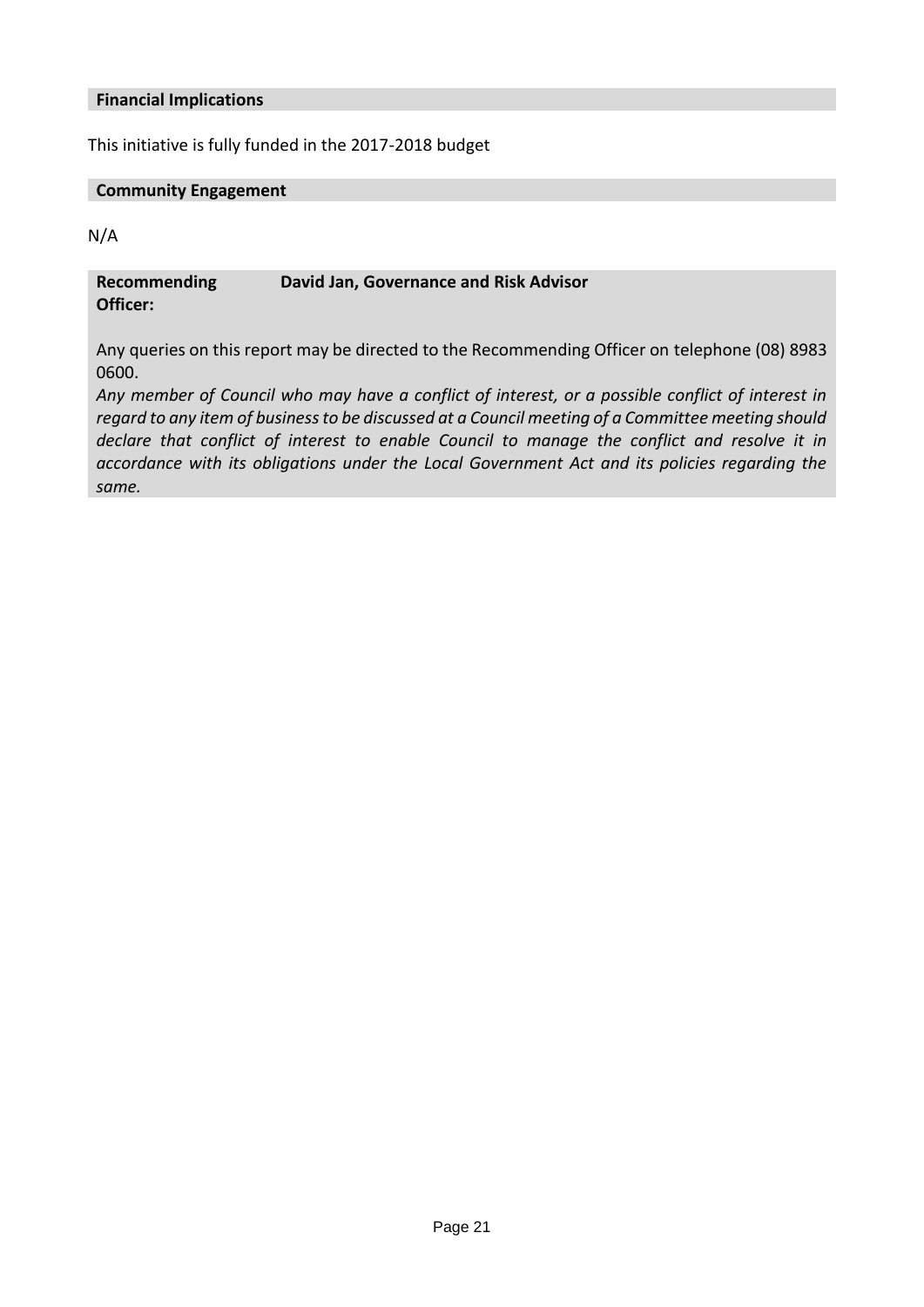#### **Financial Implications**

This initiative is fully funded in the 2017-2018 budget

#### **Community Engagement**

N/A

#### **Recommending David Jan, Governance and Risk Advisor**

**Officer:**

Any queries on this report may be directed to the Recommending Officer on telephone (08) 8983 0600.

*Any member of Council who may have a conflict of interest, or a possible conflict of interest in regard to any item of business to be discussed at a Council meeting of a Committee meeting should declare that conflict of interest to enable Council to manage the conflict and resolve it in accordance with its obligations under the Local Government Act and its policies regarding the same.*